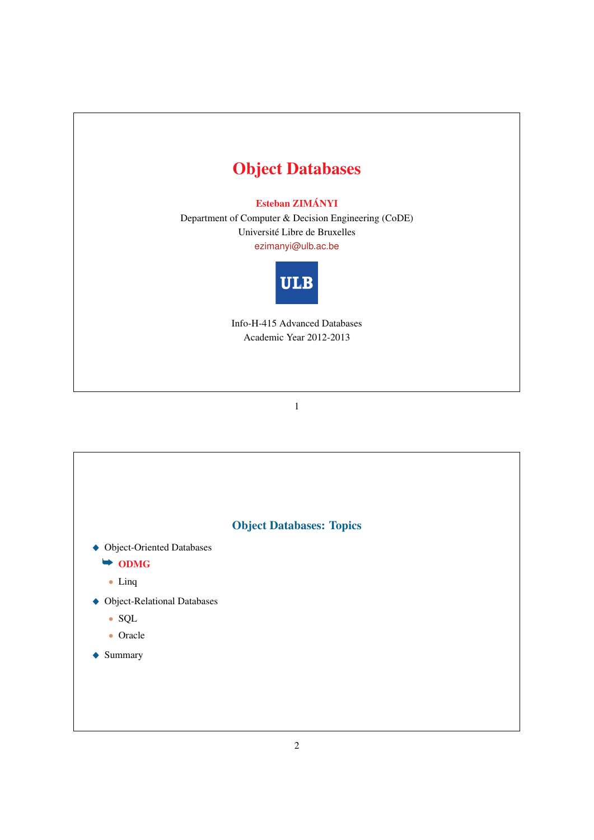# Object Databases

# Esteban ZIMÁNYI

Department of Computer & Decision Engineering (CoDE) Universite Libre de Bruxelles ´ ezimanyi@ulb.ac.be



Info-H-415 Advanced Databases Academic Year 2012-2013

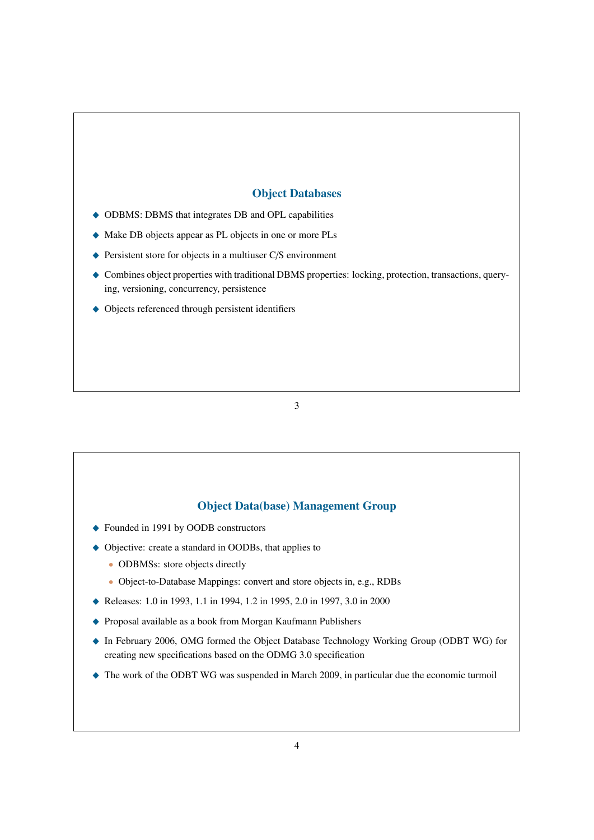# Object Databases

- $\triangle$  ODBMS: DBMS that integrates DB and OPL capabilities
- \_ Make DB objects appear as PL objects in one or more PLs
- $\blacklozenge$  Persistent store for objects in a multiuser C/S environment
- \_ Combines object properties with traditional DBMS properties: locking, protection, transactions, querying, versioning, concurrency, persistence
- $\blacklozenge$  Objects referenced through persistent identifiers

3

## Object Data(base) Management Group

- ◆ Founded in 1991 by OODB constructors
- ◆ Objective: create a standard in OODBs, that applies to
	- ODBMSs: store objects directly
	- Object-to-Database Mappings: convert and store objects in, e.g., RDBs
- ◆ Releases: 1.0 in 1993, 1.1 in 1994, 1.2 in 1995, 2.0 in 1997, 3.0 in 2000
- ◆ Proposal available as a book from Morgan Kaufmann Publishers
- \_ In February 2006, OMG formed the Object Database Technology Working Group (ODBT WG) for creating new specifications based on the ODMG 3.0 specification
- \_ The work of the ODBT WG was suspended in March 2009, in particular due the economic turmoil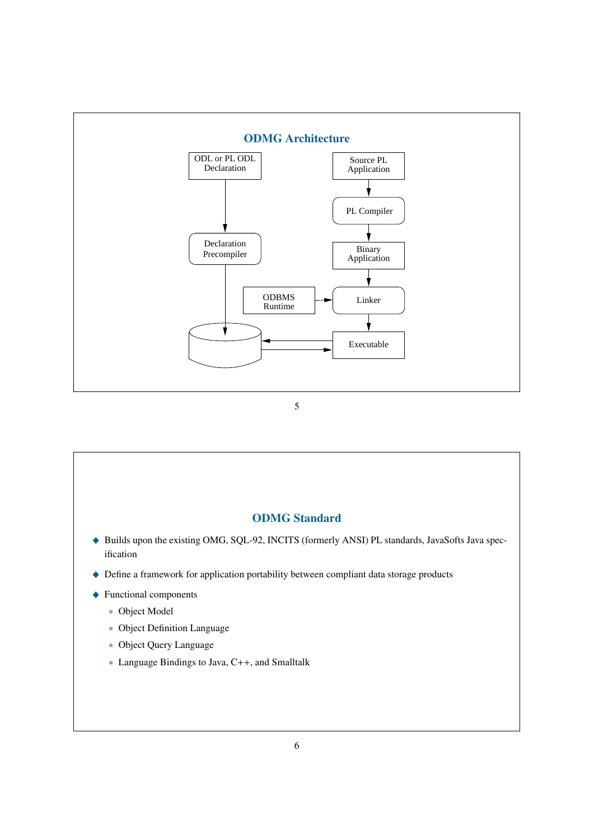

# ODMG Standard ◆ Builds upon the existing OMG, SQL-92, INCITS (formerly ANSI) PL standards, JavaSofts Java specification  $\blacklozenge$  Define a framework for application portability between compliant data storage products  $\blacklozenge$  Functional components • Object Model • Object Definition Language • Object Query Language • Language Bindings to Java, C++, and Smalltalk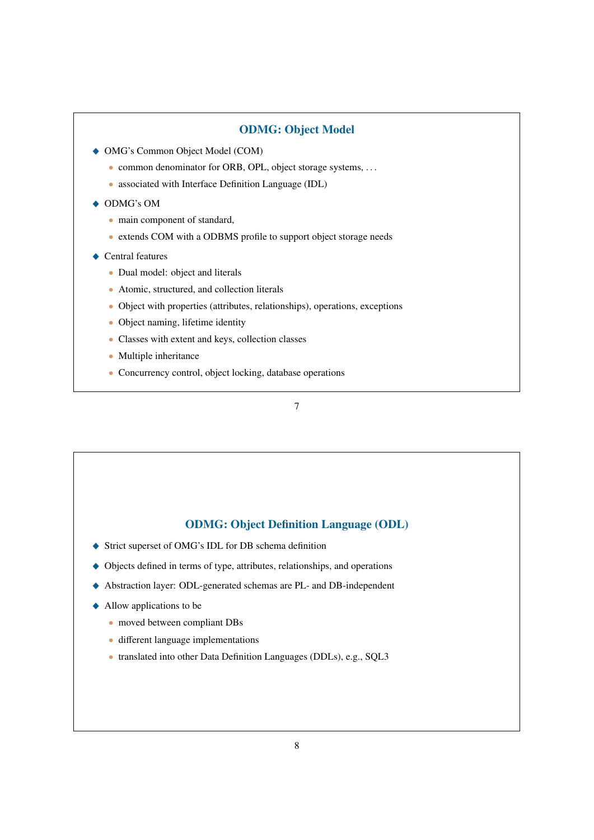## ODMG: Object Model

- $\triangle$  OMG's Common Object Model (COM)
	- common denominator for ORB, OPL, object storage systems, ...
	- associated with Interface Definition Language (IDL)
- ◆ ODMG's OM
	- main component of standard,
	- extends COM with a ODBMS profile to support object storage needs
- $\triangle$  Central features
	- Dual model: object and literals
	- Atomic, structured, and collection literals
	- Object with properties (attributes, relationships), operations, exceptions
	- Object naming, lifetime identity
	- Classes with extent and keys, collection classes
	- Multiple inheritance
	- Concurrency control, object locking, database operations

7

#### ODMG: Object Definition Language (ODL)

- ◆ Strict superset of OMG's IDL for DB schema definition
- \_ Objects defined in terms of type, attributes, relationships, and operations
- \_ Abstraction layer: ODL-generated schemas are PL- and DB-independent
- $\triangle$  Allow applications to be
	- moved between compliant DBs
	- different language implementations
	- translated into other Data Definition Languages (DDLs), e.g., SQL3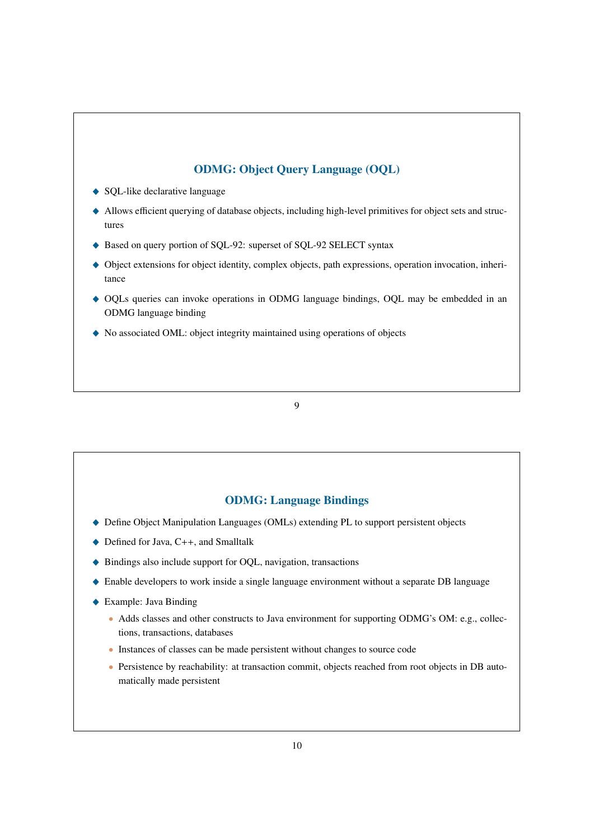# ODMG: Object Query Language (OQL)

- ◆ SQL-like declarative language
- \_ Allows efficient querying of database objects, including high-level primitives for object sets and structures
- ◆ Based on query portion of SQL-92: superset of SQL-92 SELECT syntax
- $\blacklozenge$  Object extensions for object identity, complex objects, path expressions, operation invocation, inheritance
- \_ OQLs queries can invoke operations in ODMG language bindings, OQL may be embedded in an ODMG language binding
- \_ No associated OML: object integrity maintained using operations of objects

9

# ODMG: Language Bindings

- ◆ Define Object Manipulation Languages (OMLs) extending PL to support persistent objects
- $\blacklozenge$  Defined for Java, C++, and Smalltalk
- ◆ Bindings also include support for OQL, navigation, transactions
- \_ Enable developers to work inside a single language environment without a separate DB language
- ◆ Example: Java Binding
	- Adds classes and other constructs to Java environment for supporting ODMG's OM: e.g., collections, transactions, databases
	- Instances of classes can be made persistent without changes to source code
	- Persistence by reachability: at transaction commit, objects reached from root objects in DB automatically made persistent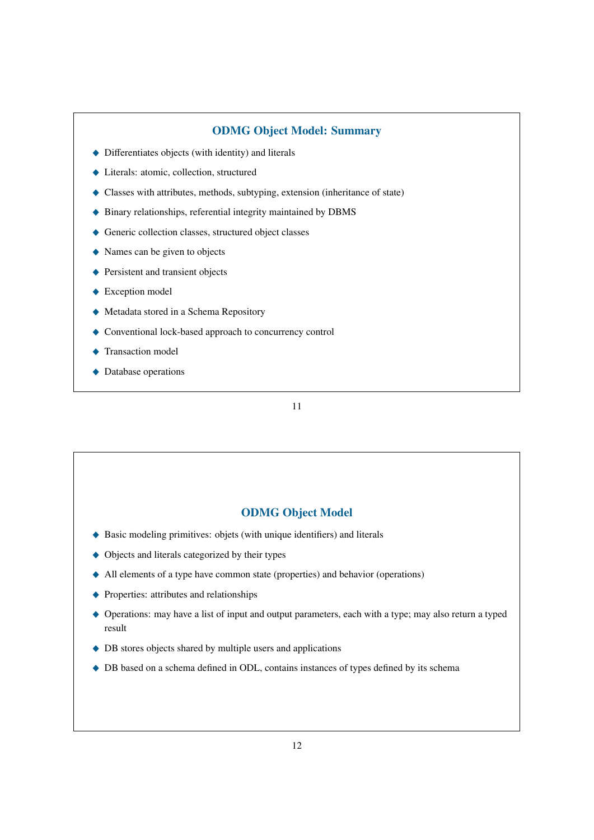#### ODMG Object Model: Summary

- $\blacklozenge$  Differentiates objects (with identity) and literals
- ◆ Literals: atomic, collection, structured
- \_ Classes with attributes, methods, subtyping, extension (inheritance of state)
- \_ Binary relationships, referential integrity maintained by DBMS
- $\triangle$  Generic collection classes, structured object classes
- $\triangle$  Names can be given to objects
- ◆ Persistent and transient objects
- $\triangle$  Exception model
- $\blacklozenge$  Metadata stored in a Schema Repository
- $\blacklozenge$  Conventional lock-based approach to concurrency control
- Transaction model
- $\rightarrow$  Database operations

11

#### ODMG Object Model

- $\blacklozenge$  Basic modeling primitives: objets (with unique identifiers) and literals
- $\triangle$  Objects and literals categorized by their types
- $\triangle$  All elements of a type have common state (properties) and behavior (operations)
- $\triangle$  Properties: attributes and relationships
- ◆ Operations: may have a list of input and output parameters, each with a type; may also return a typed result
- $\triangle$  DB stores objects shared by multiple users and applications
- $\blacklozenge$  DB based on a schema defined in ODL, contains instances of types defined by its schema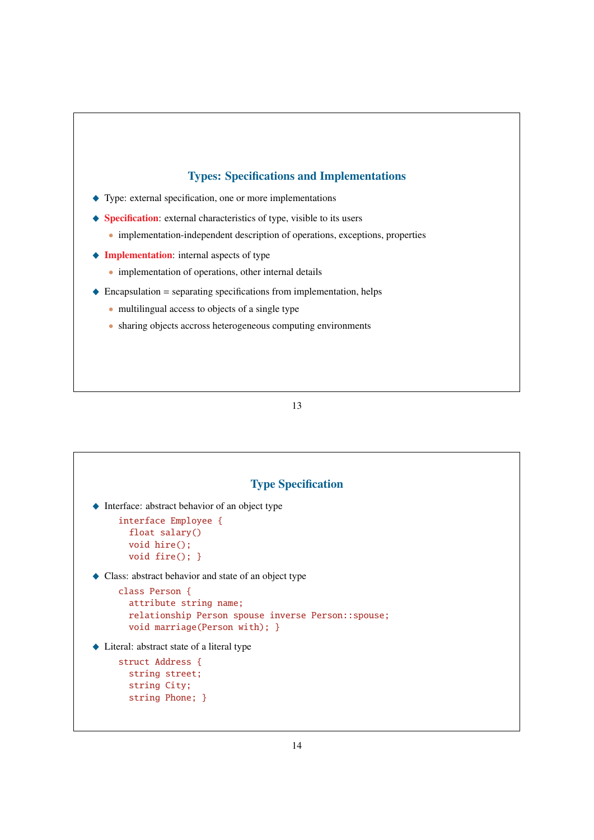#### Types: Specifications and Implementations

- $\blacklozenge$  Type: external specification, one or more implementations
- $\blacklozenge$  Specification: external characteristics of type, visible to its users
	- implementation-independent description of operations, exceptions, properties
- $\blacklozenge$  Implementation: internal aspects of type
	- implementation of operations, other internal details
- $\triangle$  Encapsulation = separating specifications from implementation, helps
	- multilingual access to objects of a single type
	- sharing objects accross heterogeneous computing environments

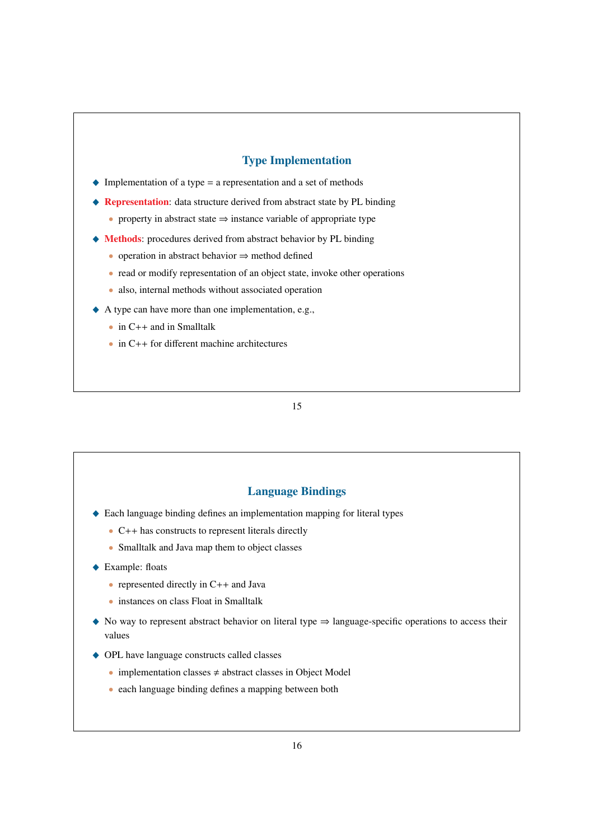## Type Implementation

- $\blacklozenge$  Implementation of a type = a representation and a set of methods
- ◆ Representation: data structure derived from abstract state by PL binding
	- property in abstract state  $\Rightarrow$  instance variable of appropriate type
- $\blacklozenge$  Methods: procedures derived from abstract behavior by PL binding
	- operation in abstract behavior ⇒ method defined
	- read or modify representation of an object state, invoke other operations
	- also, internal methods without associated operation
- $\blacklozenge$  A type can have more than one implementation, e.g.,
	- in C++ and in Smalltalk
	- in C++ for different machine architectures

#### 15

#### Language Bindings

- $\triangle$  Each language binding defines an implementation mapping for literal types
	- C++ has constructs to represent literals directly
	- Smalltalk and Java map them to object classes
- ◆ Example: floats
	- represented directly in C++ and Java
	- instances on class Float in Smalltalk
- $\triangle$  No way to represent abstract behavior on literal type  $\Rightarrow$  language-specific operations to access their values
- ◆ OPL have language constructs called classes
	- implementation classes  $\neq$  abstract classes in Object Model
	- each language binding defines a mapping between both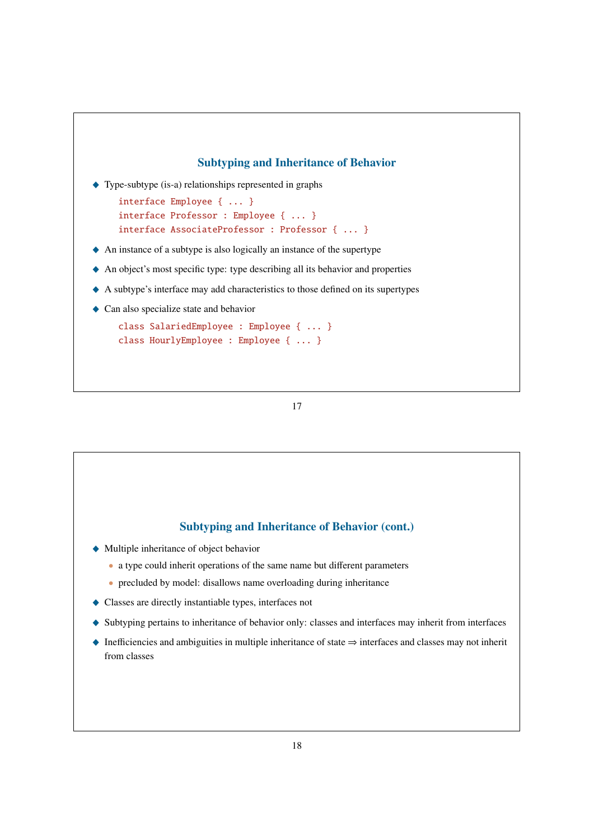

17

### Subtyping and Inheritance of Behavior (cont.)

- \_ Multiple inheritance of object behavior
	- a type could inherit operations of the same name but different parameters
	- precluded by model: disallows name overloading during inheritance
- \_ Classes are directly instantiable types, interfaces not
- \_ Subtyping pertains to inheritance of behavior only: classes and interfaces may inherit from interfaces
- \_ Inefficiencies and ambiguities in multiple inheritance of state ⇒ interfaces and classes may not inherit from classes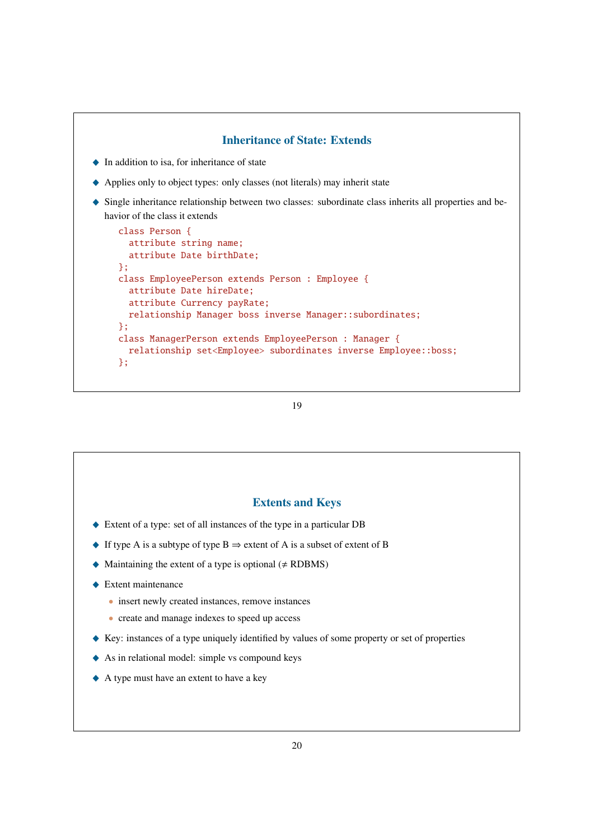

#### 19

#### Extents and Keys

- \_ Extent of a type: set of all instances of the type in a particular DB
- $\bullet$  If type A is a subtype of type B  $\Rightarrow$  extent of A is a subset of extent of B
- $\blacklozenge$  Maintaining the extent of a type is optional ( $\neq$  RDBMS)
- $\triangle$  Extent maintenance
	- insert newly created instances, remove instances
	- create and manage indexes to speed up access
- \_ Key: instances of a type uniquely identified by values of some property or set of properties
- $\triangle$  As in relational model: simple vs compound keys
- \_ A type must have an extent to have a key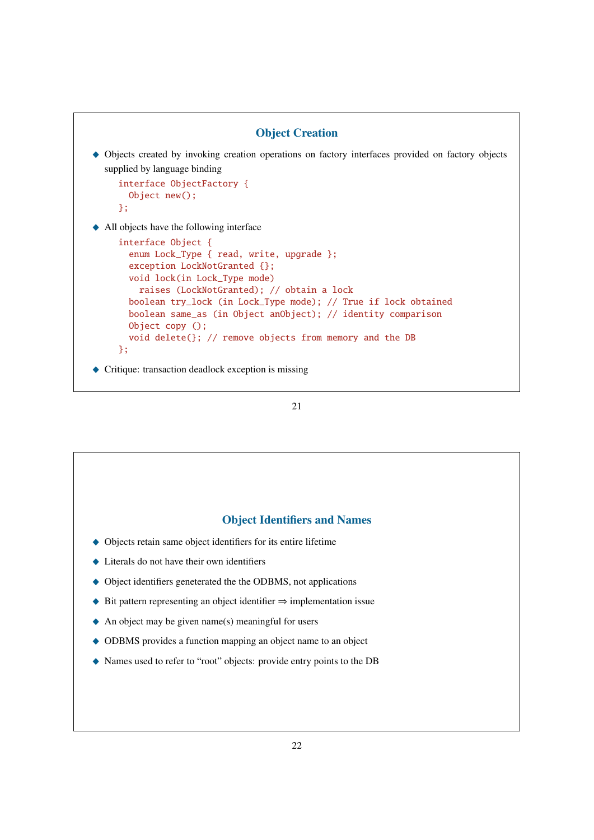

```
21
```
# Object Identifiers and Names

- \_ Objects retain same object identifiers for its entire lifetime
- $\blacklozenge$  Literals do not have their own identifiers
- $\triangle$  Object identifiers geneterated the the ODBMS, not applications
- $\triangle$  Bit pattern representing an object identifier  $\Rightarrow$  implementation issue
- $\blacklozenge$  An object may be given name(s) meaningful for users
- $\triangle$  ODBMS provides a function mapping an object name to an object
- \_ Names used to refer to "root" objects: provide entry points to the DB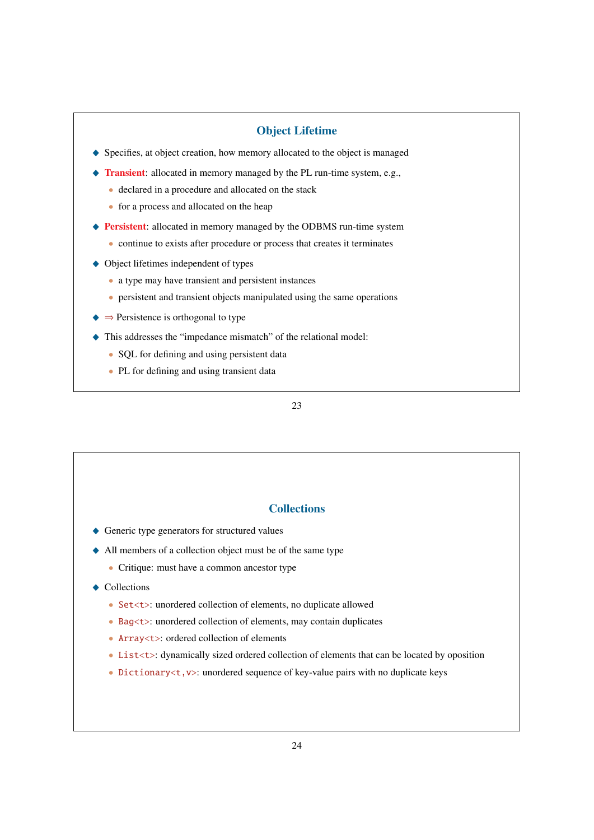## Object Lifetime

- ◆ Specifies, at object creation, how memory allocated to the object is managed
- $\blacklozenge$  Transient: allocated in memory managed by the PL run-time system, e.g.,
	- declared in a procedure and allocated on the stack
		- for a process and allocated on the heap
- ◆ Persistent: allocated in memory managed by the ODBMS run-time system
	- continue to exists after procedure or process that creates it terminates
- $\triangle$  Object lifetimes independent of types
	- a type may have transient and persistent instances
	- persistent and transient objects manipulated using the same operations
- $\blacklozenge$   $\Rightarrow$  Persistence is orthogonal to type
- \_ This addresses the "impedance mismatch" of the relational model:
	- SQL for defining and using persistent data
	- PL for defining and using transient data

#### 23

## **Collections**

- ◆ Generic type generators for structured values
- \_ All members of a collection object must be of the same type
	- Critique: must have a common ancestor type

#### $\triangle$  Collections

- Set<t>: unordered collection of elements, no duplicate allowed
- Bag<t>: unordered collection of elements, may contain duplicates
- Array<t>: ordered collection of elements
- List<t>: dynamically sized ordered collection of elements that can be located by oposition
- Dictionary  $\lt t$ ,  $v$  : unordered sequence of key-value pairs with no duplicate keys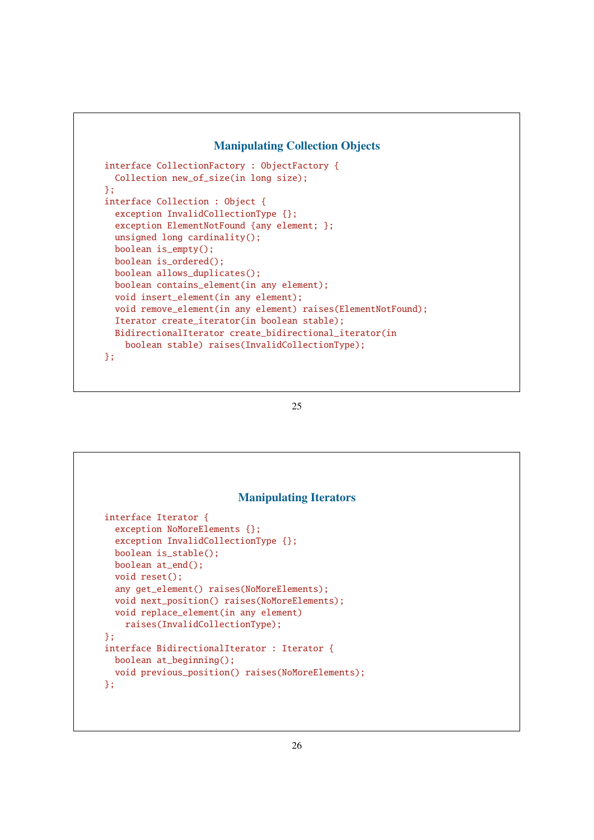# Manipulating Collection Objects

```
interface CollectionFactory : ObjectFactory {
  Collection new_of_size(in long size);
};
interface Collection : Object {
 exception InvalidCollectionType {};
  exception ElementNotFound {any element; };
  unsigned long cardinality();
  boolean is_empty();
  boolean is_ordered();
  boolean allows_duplicates();
  boolean contains_element(in any element);
  void insert_element(in any element);
  void remove_element(in any element) raises(ElementNotFound);
  Iterator create_iterator(in boolean stable);
 BidirectionalIterator create_bidirectional_iterator(in
    boolean stable) raises(InvalidCollectionType);
};
```

```
25
```

|                              | <b>Manipulating Iterators</b>                    |  |
|------------------------------|--------------------------------------------------|--|
| interface Iterator {         |                                                  |  |
| exception NoMoreElements {}; |                                                  |  |
|                              | exception InvalidCollectionType {};              |  |
| boolean is_stable();         |                                                  |  |
| $boolean$ $at\_end()$ ;      |                                                  |  |
| void reset():                |                                                  |  |
|                              | any get_element() raises(NoMoreElements);        |  |
|                              | void next_position() raises(NoMoreElements);     |  |
|                              | void replace_element(in any element)             |  |
|                              | raises(InvalidCollectionType);                   |  |
| 34                           |                                                  |  |
|                              | interface BidirectionalIterator : Iterator {     |  |
| $boolean$ $at_beginning()$ ; |                                                  |  |
|                              | void previous_position() raises(NoMoreElements); |  |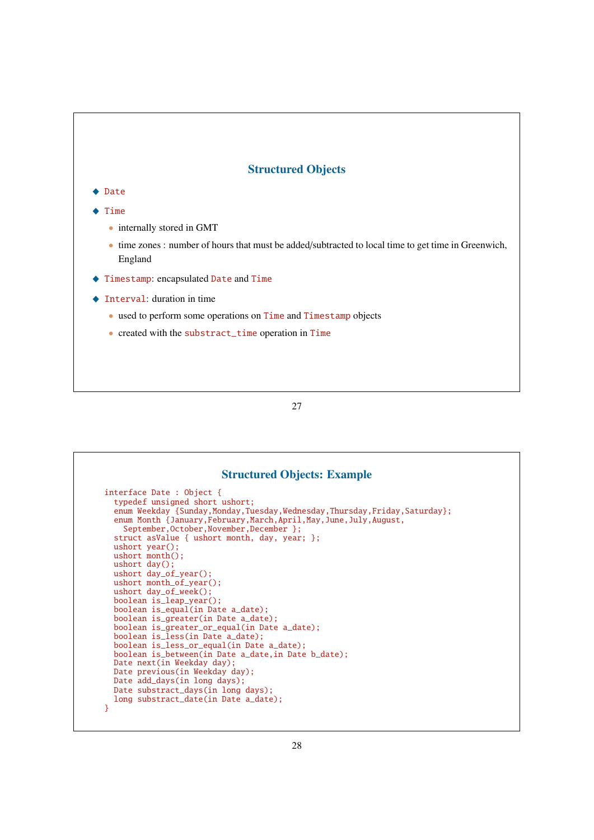# Structured Objects

# ◆ Date

- $\triangle$  Time
	- internally stored in GMT
	- time zones : number of hours that must be added/subtracted to local time to get time in Greenwich, England
- \_ Timestamp: encapsulated Date and Time
- $\triangle$  Interval: duration in time
	- used to perform some operations on Time and Timestamp objects
	- created with the substract\_time operation in Time

| <b>Structured Objects: Example</b>                                       |
|--------------------------------------------------------------------------|
| interface Date : Object $\{$                                             |
| typedef unsigned short ushort;                                           |
| enum Weekday {Sunday,Monday,Tuesday,Wednesday,Thursday,Friday,Saturday}; |
| enum Month {January, February, March, April, May, June, July, August,    |
| September, October, November, December };                                |
| struct asValue { ushort month, day, year; };                             |
| ushort $year()$ ;                                                        |
| $ushort month()$ ;                                                       |
| ushort $day()$ ;<br>ushort day_of_year();                                |
| ushort $month_of\_year()$ ;                                              |
| ushort $day_of_new()$ ;                                                  |
| boolean is_leap_year();                                                  |
| boolean is_equal(in Date a_date);                                        |
| boolean is_greater(in Date a_date);                                      |
| boolean is_greater_or_equal(in Date a_date);                             |
| boolean is_less(in Date a_date);                                         |
| boolean is_less_or_equal(in Date a_date);                                |
| boolean is_between(in Date a_date, in Date b_date);                      |
| Date next(in Weekday day);                                               |
| Date previous(in Weekday day);                                           |
| Date add_days(in long days);                                             |
| Date substract_days(in long days);                                       |
| long substract_date(in Date a_date);                                     |
| }                                                                        |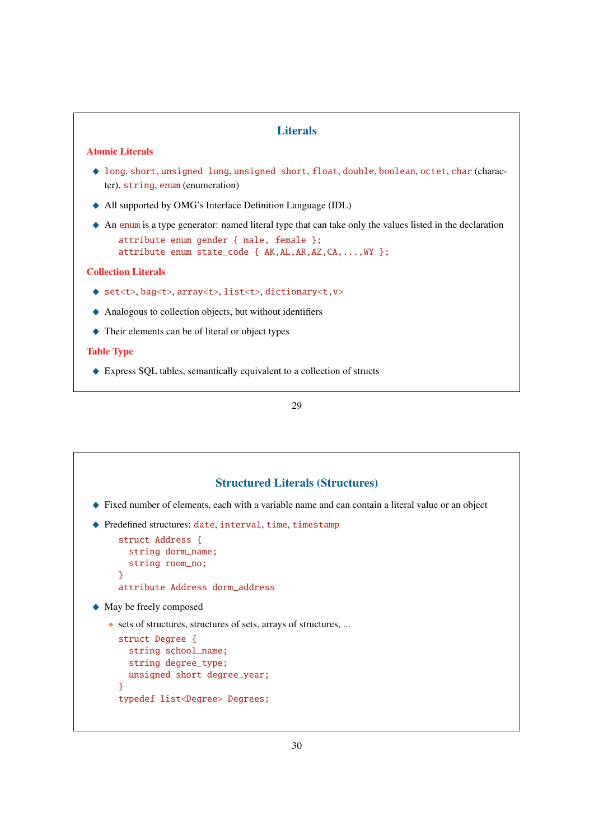# **Literals**

#### Atomic Literals

- \_ long, short, unsigned long, unsigned short, float, double, boolean, octet, char (character), string, enum (enumeration)
- \_ All supported by OMG's Interface Definition Language (IDL)
- $\triangle$  An enum is a type generator: named literal type that can take only the values listed in the declaration attribute enum gender { male, female };

```
attribute enum state_code { AK,AL,AR,AZ,CA,...,WY };
```
#### Collection Literals

- ◆ set<t>, bag<t>, array<t>, list<t>, dictionary<t, v>
- $\triangle$  Analogous to collection objects, but without identifiers
- $\triangle$  Their elements can be of literal or object types

#### Table Type

◆ Express SQL tables, semantically equivalent to a collection of structs

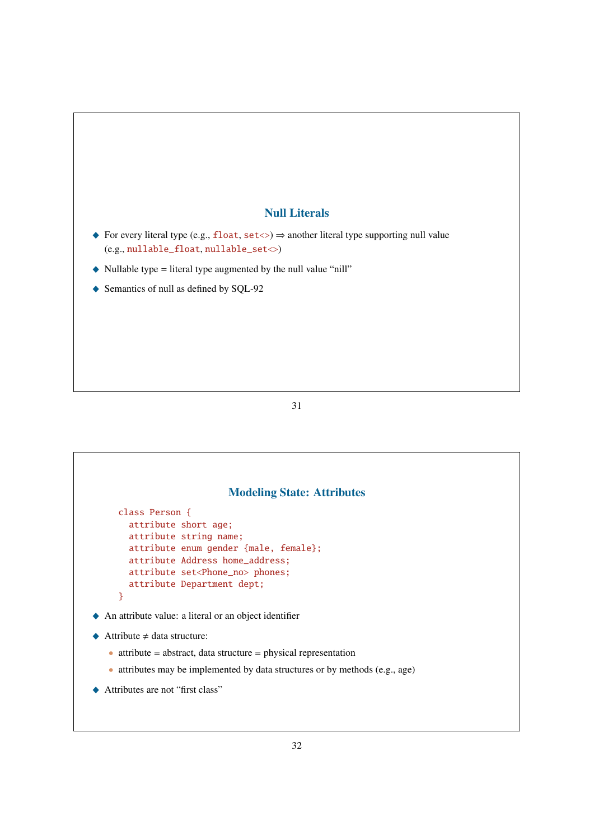# Null Literals

- \_ For every literal type (e.g., float, set<>) ⇒ another literal type supporting null value (e.g., nullable\_float, nullable\_set<>)
- $\blacklozenge$  Nullable type = literal type augmented by the null value "nill"
- ◆ Semantics of null as defined by SQL-92

31

# Modeling State: Attributes class Person { attribute short age; attribute string name; attribute enum gender {male, female}; attribute Address home\_address; attribute set<Phone\_no> phones; attribute Department dept; } \_ An attribute value: a literal or an object identifier  $\triangle$  Attribute  $\neq$  data structure:  $\bullet$  attribute = abstract, data structure = physical representation • attributes may be implemented by data structures or by methods (e.g., age) ◆ Attributes are not "first class"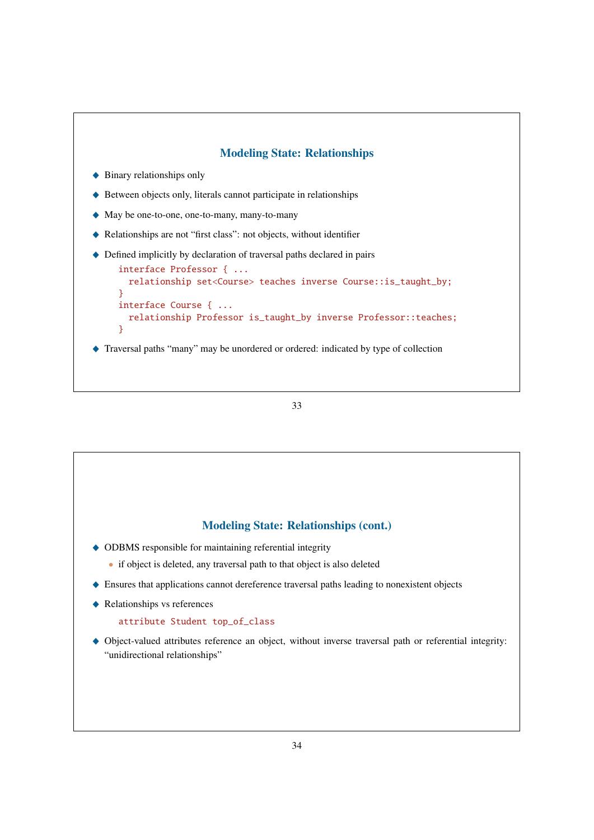

#### 33

#### Modeling State: Relationships (cont.)

- $\triangle$  ODBMS responsible for maintaining referential integrity
	- if object is deleted, any traversal path to that object is also deleted
- \_ Ensures that applications cannot dereference traversal paths leading to nonexistent objects
- $\blacklozenge$  Relationships vs references

#### attribute Student top\_of\_class

\_ Object-valued attributes reference an object, without inverse traversal path or referential integrity: "unidirectional relationships"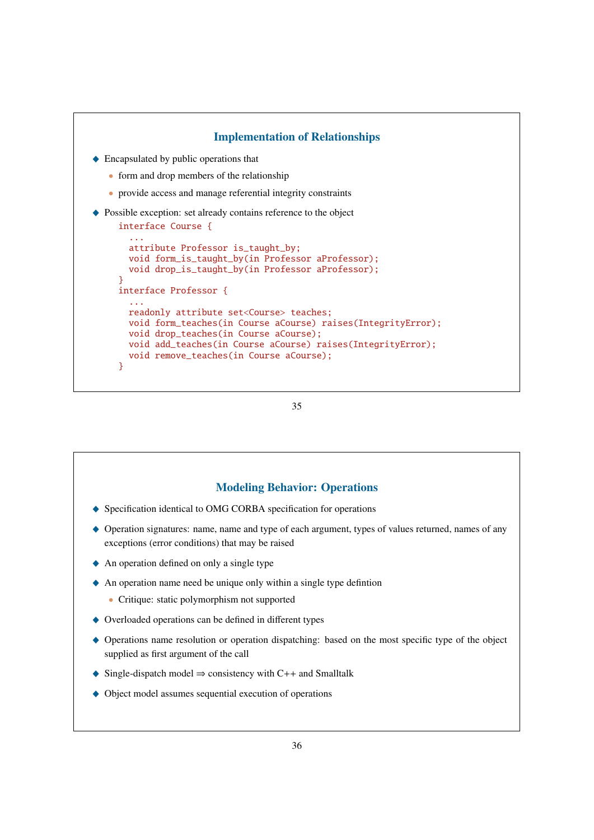

```
35
```
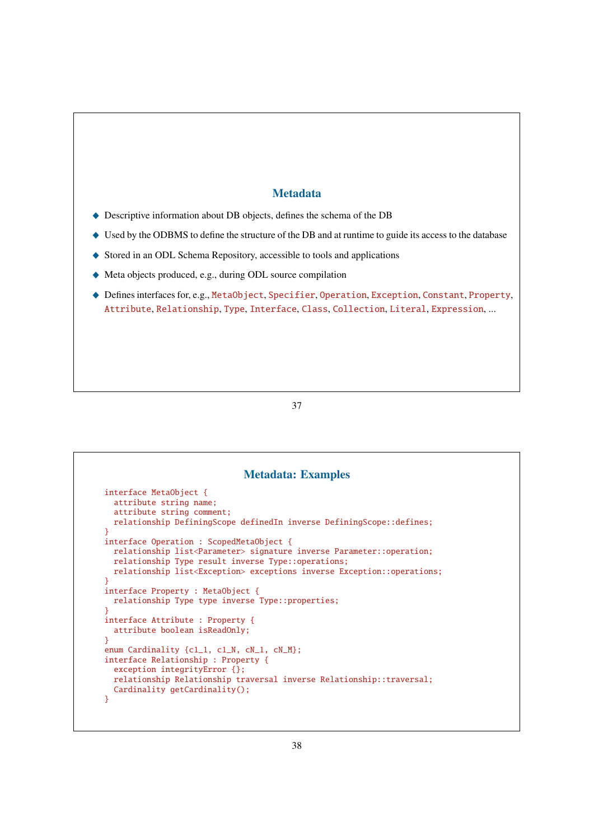# Metadata

- \_ Descriptive information about DB objects, defines the schema of the DB
- $\blacklozenge$  Used by the ODBMS to define the structure of the DB and at runtime to guide its access to the database
- ◆ Stored in an ODL Schema Repository, accessible to tools and applications
- \_ Meta objects produced, e.g., during ODL source compilation
- ◆ Defines interfaces for, e.g., MetaObject, Specifier, Operation, Exception, Constant, Property, Attribute, Relationship, Type, Interface, Class, Collection, Literal, Expression, ...

| <b>Metadata: Examples</b>                                                           |  |
|-------------------------------------------------------------------------------------|--|
| $interface MetaObject$ {                                                            |  |
| attribute string name;                                                              |  |
| attribute string comment;                                                           |  |
| relationship DefiningScope definedIn inverse DefiningScope::defines;                |  |
| ł                                                                                   |  |
| interface Operation : ScopedMetaObject {                                            |  |
| relationship list <parameter> signature inverse Parameter::operation;</parameter>   |  |
| relationship Type result inverse Type::operations;                                  |  |
| relationship list <exception> exceptions inverse Exception::operations;</exception> |  |
| ł                                                                                   |  |
| interface Property : MetaObject {                                                   |  |
| relationship Type type inverse Type::properties;                                    |  |
|                                                                                     |  |
| interface Attribute : Property {<br>attribute boolean isReadOnly;                   |  |
| γ                                                                                   |  |
| enum Cardinality ${c1_1, c1_N, cN_1, cN_M};$                                        |  |
| interface Relationship : Property {                                                 |  |
| exception integrity Error $\{\}$ ;                                                  |  |
| relationship Relationship traversal inverse Relationship::traversal;                |  |
| Cardinality getCardinality();                                                       |  |
| }                                                                                   |  |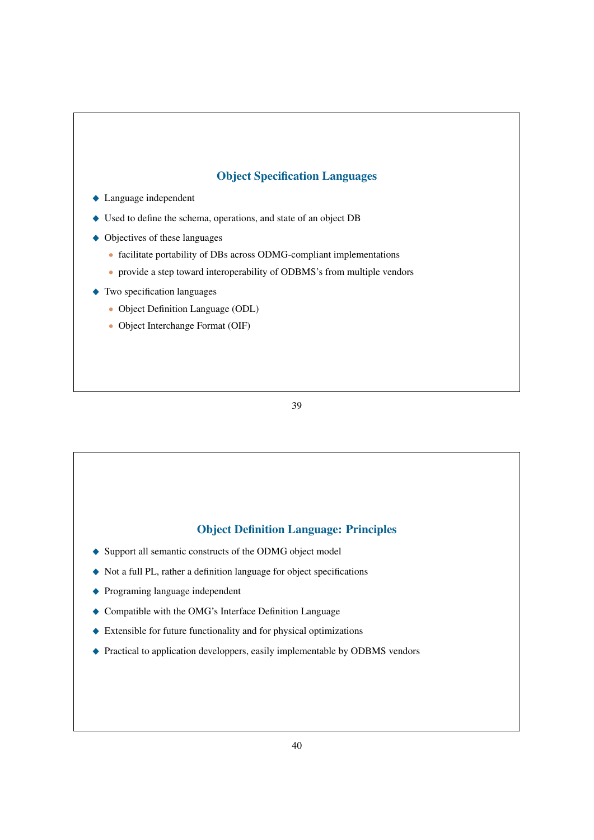# Object Specification Languages

- $\triangle$  Language independent
- $\triangle$  Used to define the schema, operations, and state of an object DB
- $\triangle$  Objectives of these languages
	- facilitate portability of DBs across ODMG-compliant implementations
	- provide a step toward interoperability of ODBMS's from multiple vendors
- $\triangle$  Two specification languages
	- Object Definition Language (ODL)
	- Object Interchange Format (OIF)

39

# Object Definition Language: Principles

- ◆ Support all semantic constructs of the ODMG object model
- \_ Not a full PL, rather a definition language for object specifications
- ◆ Programing language independent
- $\blacklozenge$  Compatible with the OMG's Interface Definition Language
- $\triangle$  Extensible for future functionality and for physical optimizations
- ◆ Practical to application developpers, easily implementable by ODBMS vendors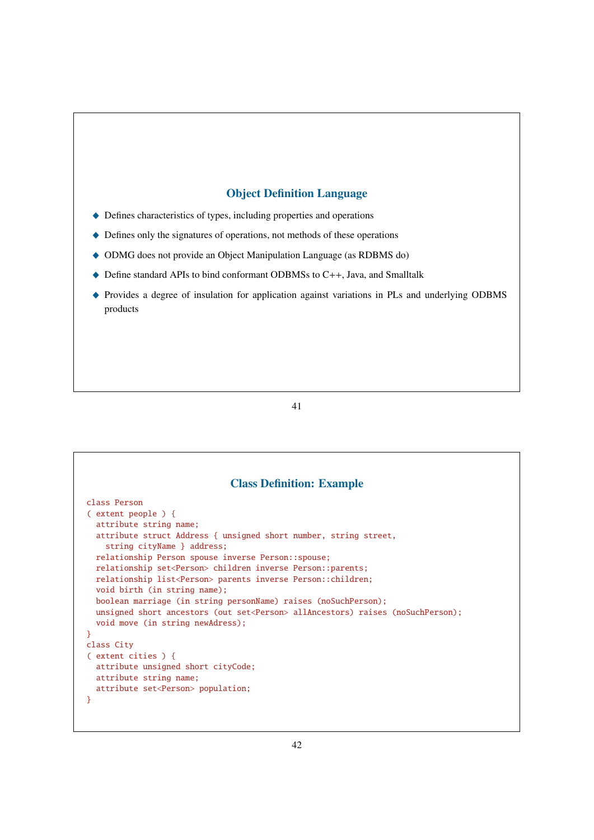# Object Definition Language

- \_ Defines characteristics of types, including properties and operations
- $\blacklozenge$  Defines only the signatures of operations, not methods of these operations
- $\triangle$  ODMG does not provide an Object Manipulation Language (as RDBMS do)
- ◆ Define standard APIs to bind conformant ODBMSs to C++, Java, and Smalltalk
- \_ Provides a degree of insulation for application against variations in PLs and underlying ODBMS products

|   | <b>Class Definition: Example</b>                                                                                              |
|---|-------------------------------------------------------------------------------------------------------------------------------|
|   | class Person                                                                                                                  |
|   | $\left($ extent people $\right)$ {                                                                                            |
|   | attribute string name;                                                                                                        |
|   | attribute struct Address { unsigned short number, string street,<br>string cityName } address;                                |
|   | relationship Person spouse inverse Person::spouse;                                                                            |
|   | relationship set <person> children inverse Person::parents;</person>                                                          |
|   | relationship list <person> parents inverse Person::children;</person>                                                         |
|   | void birth (in string name);                                                                                                  |
|   | boolean marriage (in string personName) raises (noSuchPerson);                                                                |
|   | unsigned short ancestors (out set <person> allAncestors) raises (noSuchPerson):<br/>void move (in string newAdress);</person> |
| ł |                                                                                                                               |
|   | class City                                                                                                                    |
|   | $($ extent cities $) \{$                                                                                                      |
|   | attribute unsigned short cityCode;                                                                                            |
|   | attribute string name;                                                                                                        |
|   | attribute set <person> population;</person>                                                                                   |
| ł |                                                                                                                               |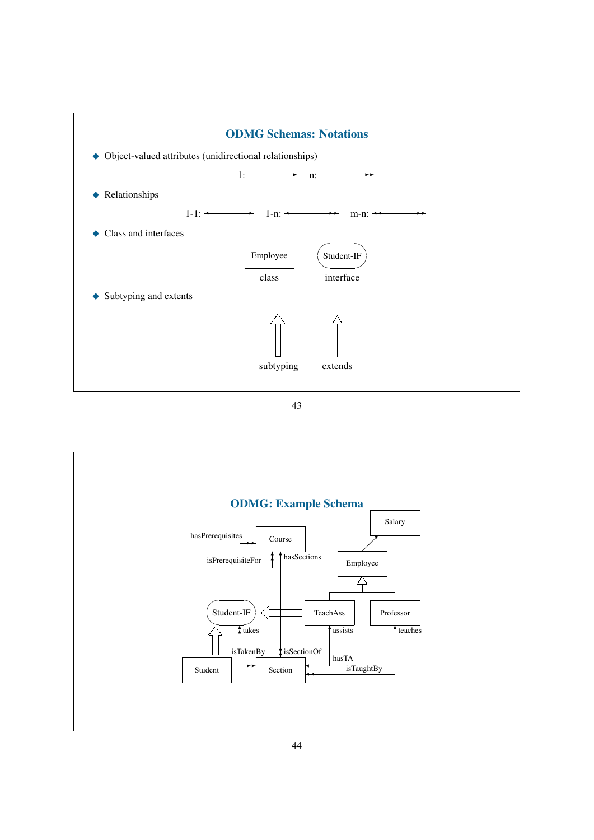

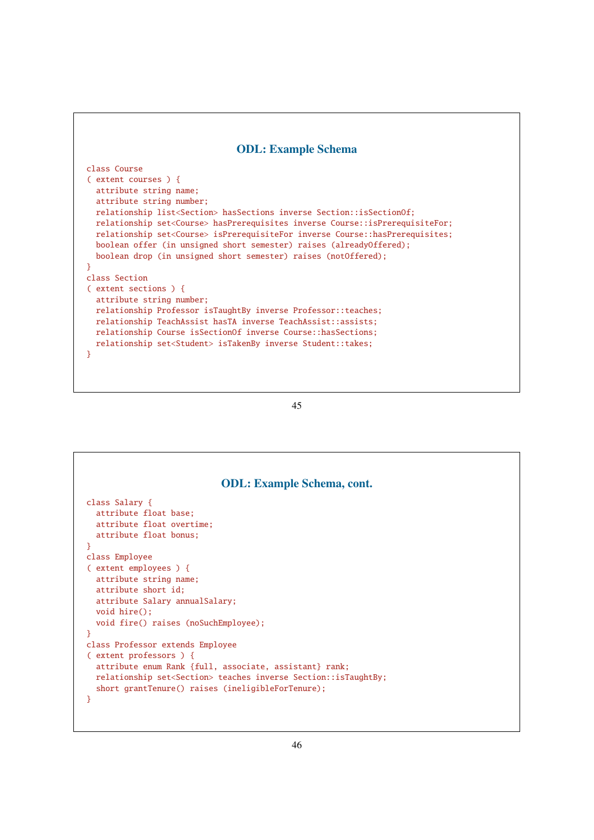#### ODL: Example Schema

```
class Course
( extent courses ) {
  attribute string name;
  attribute string number;
  relationship list<Section> hasSections inverse Section::isSectionOf;
  relationship set<Course> hasPrerequisites inverse Course::isPrerequisiteFor;
  relationship set<Course> isPrerequisiteFor inverse Course::hasPrerequisites;
  boolean offer (in unsigned short semester) raises (alreadyOffered);
  boolean drop (in unsigned short semester) raises (notOffered);
}
class Section
( extent sections ) {
  attribute string number;
  relationship Professor isTaughtBy inverse Professor::teaches;
  relationship TeachAssist hasTA inverse TeachAssist::assists;
  relationship Course isSectionOf inverse Course::hasSections;
  relationship set<Student> isTakenBy inverse Student::takes;
}
```

```
45
```

| <b>ODL:</b> Example Schema, cont.                                                                                                                                                                                  |
|--------------------------------------------------------------------------------------------------------------------------------------------------------------------------------------------------------------------|
| class Salary {<br>attribute float base;<br>attribute float overtime;<br>attribute float bonus;                                                                                                                     |
| ł                                                                                                                                                                                                                  |
| class Employee                                                                                                                                                                                                     |
| (extent employees) {<br>attribute string name;<br>attribute short id;<br>attribute Salary annualSalary;<br>void hire()<br>void fire() raises (noSuchEmployee);                                                     |
| ł                                                                                                                                                                                                                  |
| class Professor extends Employee                                                                                                                                                                                   |
| (extent professors) {<br>attribute enum Rank {full, associate, assistant} rank;<br>relationship set <section> teaches inverse Section::isTaughtBy;<br/>short grantTenure() raises (ineligibleForTenure);</section> |
| ł                                                                                                                                                                                                                  |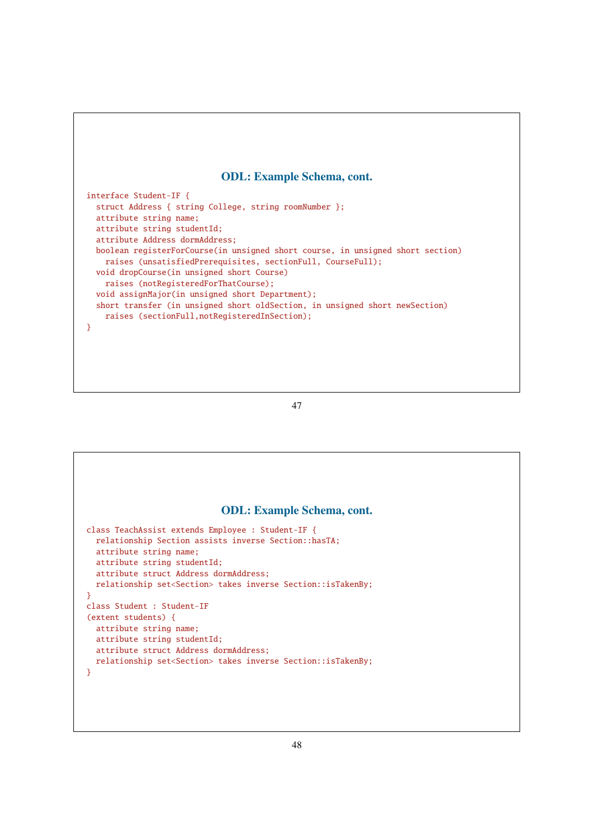#### ODL: Example Schema, cont.

interface Student-IF { struct Address { string College, string roomNumber }; attribute string name; attribute string studentId; attribute Address dormAddress; boolean registerForCourse(in unsigned short course, in unsigned short section) raises (unsatisfiedPrerequisites, sectionFull, CourseFull); void dropCourse(in unsigned short Course) raises (notRegisteredForThatCourse); void assignMajor(in unsigned short Department); short transfer (in unsigned short oldSection, in unsigned short newSection) raises (sectionFull,notRegisteredInSection); }

#### 47

# ODL: Example Schema, cont. class TeachAssist extends Employee : Student-IF { relationship Section assists inverse Section::hasTA; attribute string name; attribute string studentId; attribute struct Address dormAddress; relationship set<Section> takes inverse Section::isTakenBy; } class Student : Student-IF (extent students) { attribute string name; attribute string studentId; attribute struct Address dormAddress; relationship set<Section> takes inverse Section::isTakenBy; }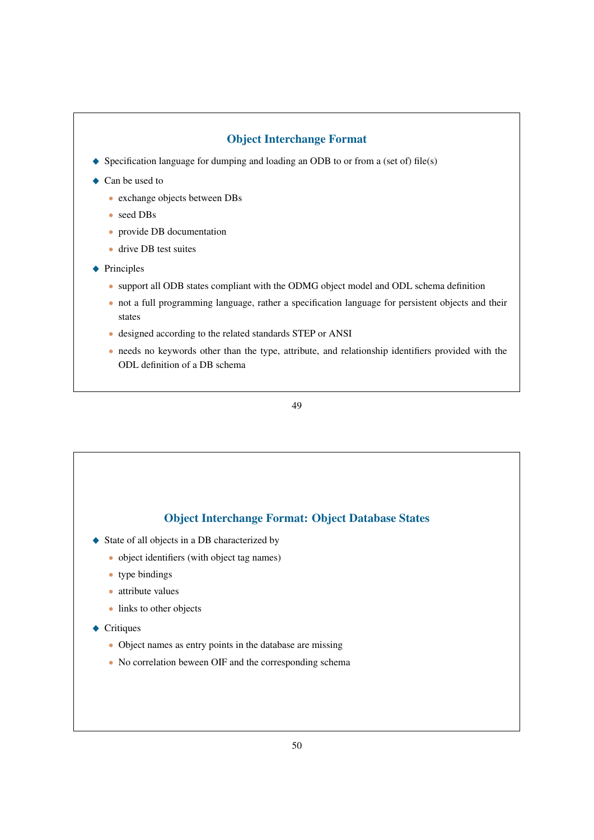# Object Interchange Format

- $\blacklozenge$  Specification language for dumping and loading an ODB to or from a (set of) file(s)
- Can be used to
	- exchange objects between DBs
	- seed DBs
	- provide DB documentation
	- drive DB test suites
- $\blacklozenge$  Principles
	- support all ODB states compliant with the ODMG object model and ODL schema definition
	- not a full programming language, rather a specification language for persistent objects and their states
	- designed according to the related standards STEP or ANSI
	- needs no keywords other than the type, attribute, and relationship identifiers provided with the ODL definition of a DB schema

49

# Object Interchange Format: Object Database States

- ◆ State of all objects in a DB characterized by
	- object identifiers (with object tag names)
	- type bindings
	- attribute values
	- links to other objects
- $\leftarrow$  Critiques
	- Object names as entry points in the database are missing
	- No correlation beween OIF and the corresponding schema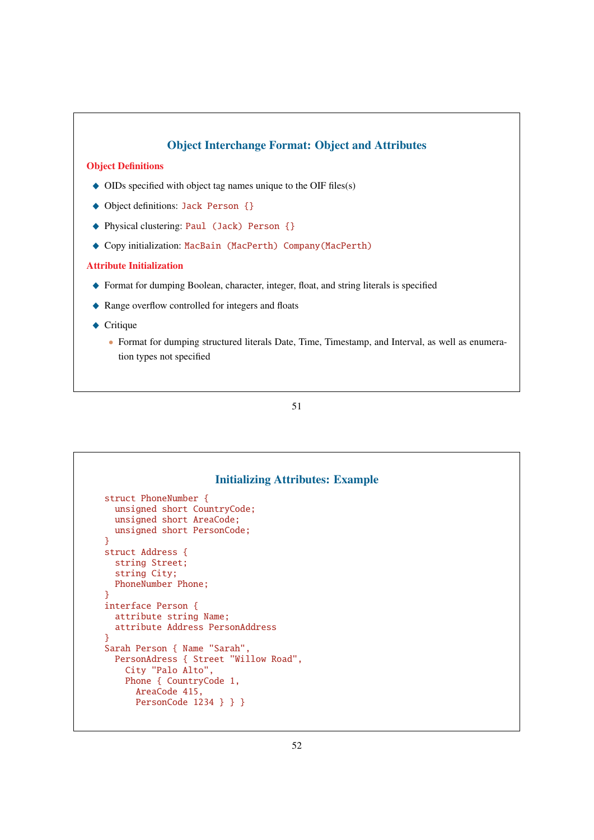

|                      |                                      | <b>Initializing Attributes: Example</b> |  |
|----------------------|--------------------------------------|-----------------------------------------|--|
| struct PhoneNumber { |                                      |                                         |  |
|                      | unsigned short CountryCode;          |                                         |  |
|                      | unsigned short AreaCode;             |                                         |  |
|                      | unsigned short PersonCode;           |                                         |  |
| ł                    |                                      |                                         |  |
| struct Address {     |                                      |                                         |  |
| string Street;       |                                      |                                         |  |
| string City;         |                                      |                                         |  |
|                      | PhoneNumber Phone:                   |                                         |  |
| ł                    |                                      |                                         |  |
| interface Person {   |                                      |                                         |  |
|                      | attribute string Name;               |                                         |  |
|                      | attribute Address PersonAddress      |                                         |  |
| ł                    |                                      |                                         |  |
|                      | Sarah Person { Name "Sarah",         |                                         |  |
|                      | PersonAdress { Street "Willow Road", |                                         |  |
|                      | City "Palo Alto",                    |                                         |  |
|                      | Phone { CountryCode 1,               |                                         |  |
|                      | AreaCode 415,                        |                                         |  |
|                      | PersonCode 1234 $\}$ } }             |                                         |  |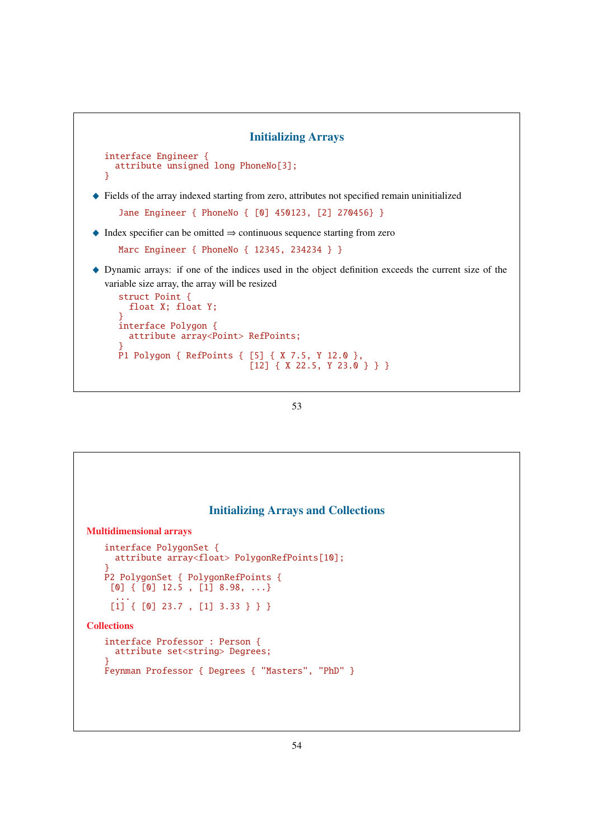```
Initializing Arrays
  interface Engineer {
    attribute unsigned long PhoneNo[3];
  }
\blacklozenge Fields of the array indexed starting from zero, attributes not specified remain uninitialized
      Jane Engineer { PhoneNo { [0] 450123, [2] 270456} }
\triangle Index specifier can be omitted \Rightarrow continuous sequence starting from zero
     Marc Engineer { PhoneNo { 12345, 234234 } }
_ Dynamic arrays: if one of the indices used in the object definition exceeds the current size of the
  variable size array, the array will be resized
     struct Point {
        float X; float Y;
      }
      interface Polygon {
        attribute array<Point> RefPoints;
      }
      P1 Polygon { RefPoints { [5] { X 7.5, Y 12.0 },
                                    [12] { X 22.5, Y 23.0 } } }
```

```
53
```
# Initializing Arrays and Collections Multidimensional arrays interface PolygonSet { attribute array<float> PolygonRefPoints[10]; } P2 PolygonSet { PolygonRefPoints {  $[0] \{ [0] 12.5 , [1] 8.98, ... \}$ ... [1] { [0] 23.7 , [1] 3.33 } } } **Collections** interface Professor : Person { attribute set<string> Degrees; } Feynman Professor { Degrees { "Masters", "PhD" }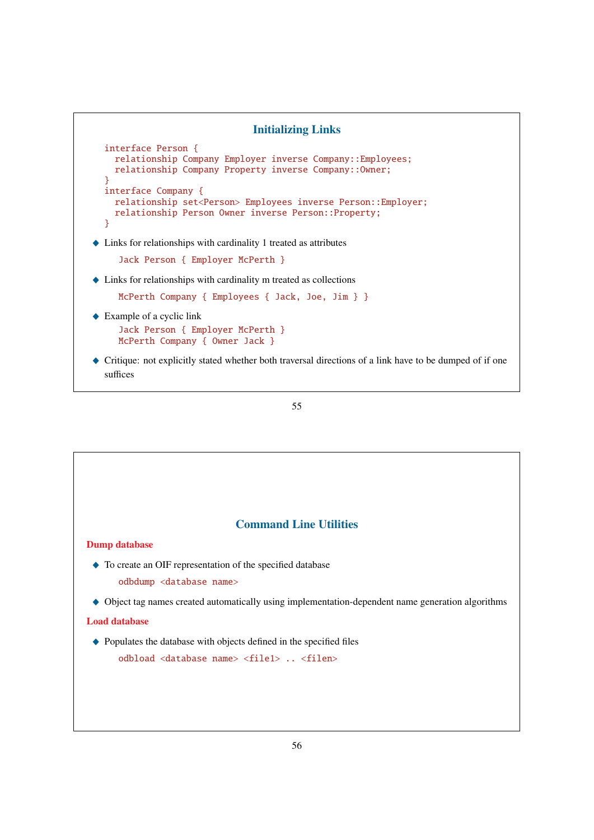

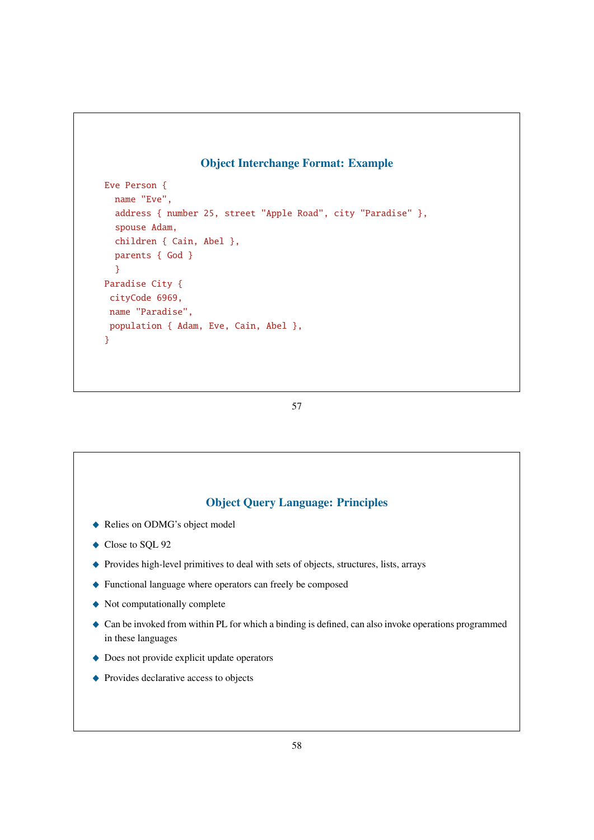# Object Interchange Format: Example

```
Eve Person {
  name "Eve",
  address { number 25, street "Apple Road", city "Paradise" },
  spouse Adam,
  children { Cain, Abel },
  parents { God }
  }
Paradise City {
 cityCode 6969,
 name "Paradise",
 population { Adam, Eve, Cain, Abel },
}
```
57

# Object Query Language: Principles

- Relies on ODMG's object model
- $\bullet$  Close to SQL 92
- \_ Provides high-level primitives to deal with sets of objects, structures, lists, arrays
- \_ Functional language where operators can freely be composed
- $\blacklozenge$  Not computationally complete
- $\triangle$  Can be invoked from within PL for which a binding is defined, can also invoke operations programmed in these languages
- $\triangle$  Does not provide explicit update operators
- $\blacklozenge$  Provides declarative access to objects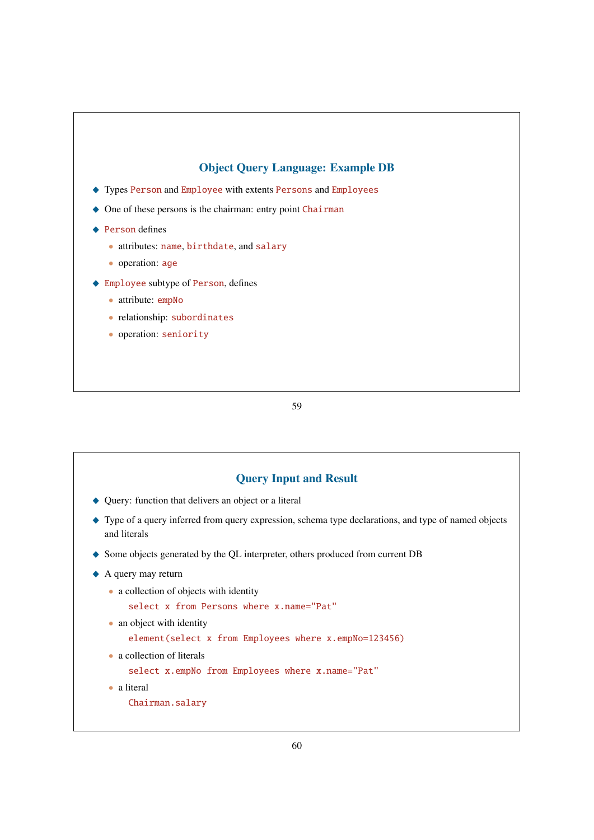# Object Query Language: Example DB

- \_ Types Person and Employee with extents Persons and Employees
- $\triangle$  One of these persons is the chairman: entry point Chairman
- ◆ Person defines

 $\Gamma$ 

- attributes: name, birthdate, and salary
- operation: age
- $\blacklozenge$  Employee subtype of Person, defines
	- attribute: empNo
	- relationship: subordinates
	- operation: seniority

| • Query: function that delivers an object or a literal<br>Type of a query inferred from query expression, schema type declarations, and type of named objects<br>and literals<br>Some objects generated by the QL interpreter, others produced from current DB<br>A query may return<br>• a collection of objects with identity<br>select x from Persons where x.name="Pat"<br>• an object with identity<br>element(select x from Employees where x.empNo=123456)<br>• a collection of literals<br>select x.empNo from Employees where x.name="Pat"<br>• a literal<br>Chairman.salary | <b>Query Input and Result</b> |
|---------------------------------------------------------------------------------------------------------------------------------------------------------------------------------------------------------------------------------------------------------------------------------------------------------------------------------------------------------------------------------------------------------------------------------------------------------------------------------------------------------------------------------------------------------------------------------------|-------------------------------|
|                                                                                                                                                                                                                                                                                                                                                                                                                                                                                                                                                                                       |                               |
|                                                                                                                                                                                                                                                                                                                                                                                                                                                                                                                                                                                       |                               |
|                                                                                                                                                                                                                                                                                                                                                                                                                                                                                                                                                                                       |                               |
|                                                                                                                                                                                                                                                                                                                                                                                                                                                                                                                                                                                       |                               |
|                                                                                                                                                                                                                                                                                                                                                                                                                                                                                                                                                                                       |                               |
|                                                                                                                                                                                                                                                                                                                                                                                                                                                                                                                                                                                       |                               |
|                                                                                                                                                                                                                                                                                                                                                                                                                                                                                                                                                                                       |                               |
|                                                                                                                                                                                                                                                                                                                                                                                                                                                                                                                                                                                       |                               |
|                                                                                                                                                                                                                                                                                                                                                                                                                                                                                                                                                                                       |                               |
|                                                                                                                                                                                                                                                                                                                                                                                                                                                                                                                                                                                       |                               |
|                                                                                                                                                                                                                                                                                                                                                                                                                                                                                                                                                                                       |                               |
|                                                                                                                                                                                                                                                                                                                                                                                                                                                                                                                                                                                       |                               |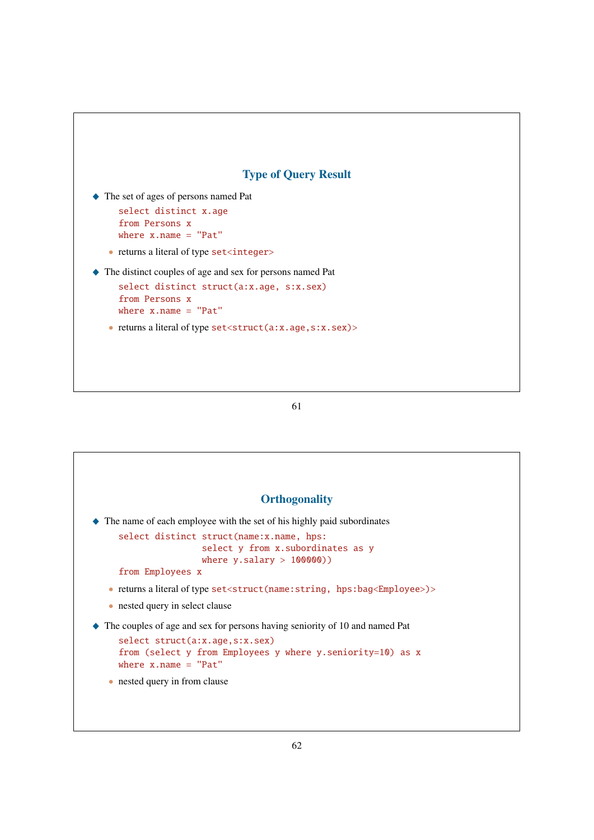

\_ The set of ages of persons named Pat

```
select distinct x.age
from Persons x
```

```
where x.name = "Pat"
```
- returns a literal of type set<integer>
- \_ The distinct couples of age and sex for persons named Pat

```
select distinct struct(a:x.age, s:x.sex)
from Persons x
where x.name = "Pat"
```
• returns a literal of type set < struct(a:x.age, s:x.sex)>

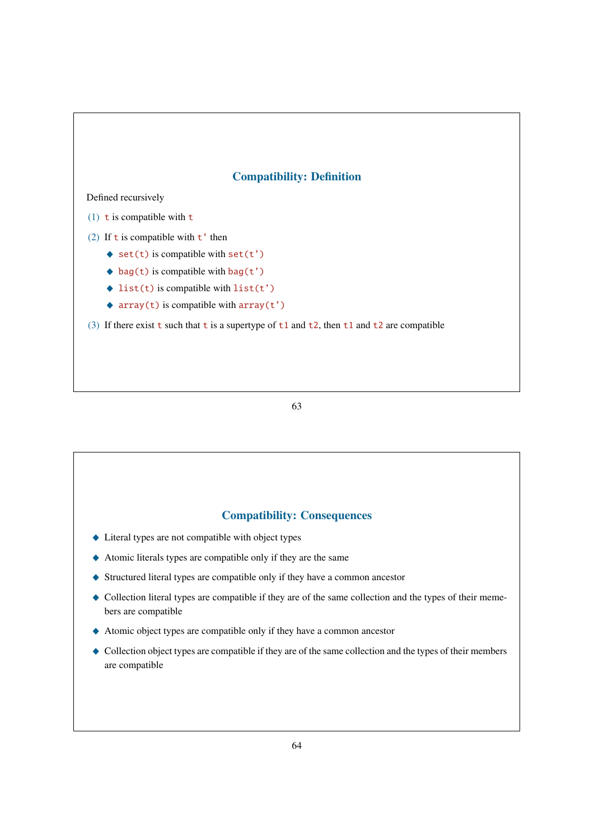## Compatibility: Definition

#### Defined recursively

- (1) t is compatible with  $t$
- (2) If  $t$  is compatible with  $t'$  then
	- $\bullet$  set(t) is compatible with set(t')
	- $\bullet$  bag(t) is compatible with bag(t')
	- $\triangleleft$  list(t) is compatible with list(t')
	- $\triangle$  array(t) is compatible with array(t')
- (3) If there exist t such that t is a supertype of  $t1$  and  $t2$ , then  $t1$  and  $t2$  are compatible

#### 63

#### Compatibility: Consequences

- $\blacklozenge$  Literal types are not compatible with object types
- \_ Atomic literals types are compatible only if they are the same
- $\blacklozenge$  Structured literal types are compatible only if they have a common ancestor
- \_ Collection literal types are compatible if they are of the same collection and the types of their memebers are compatible
- $\triangle$  Atomic object types are compatible only if they have a common ancestor
- Collection object types are compatible if they are of the same collection and the types of their members are compatible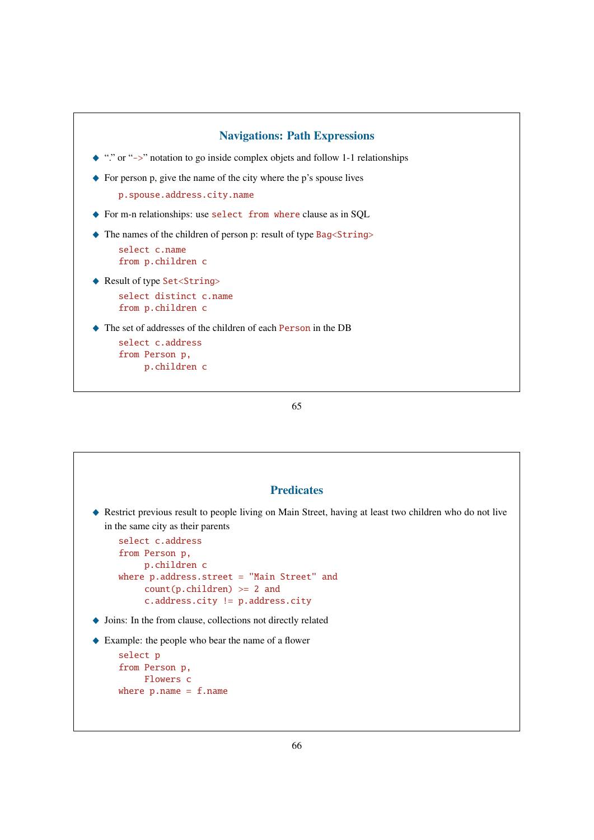

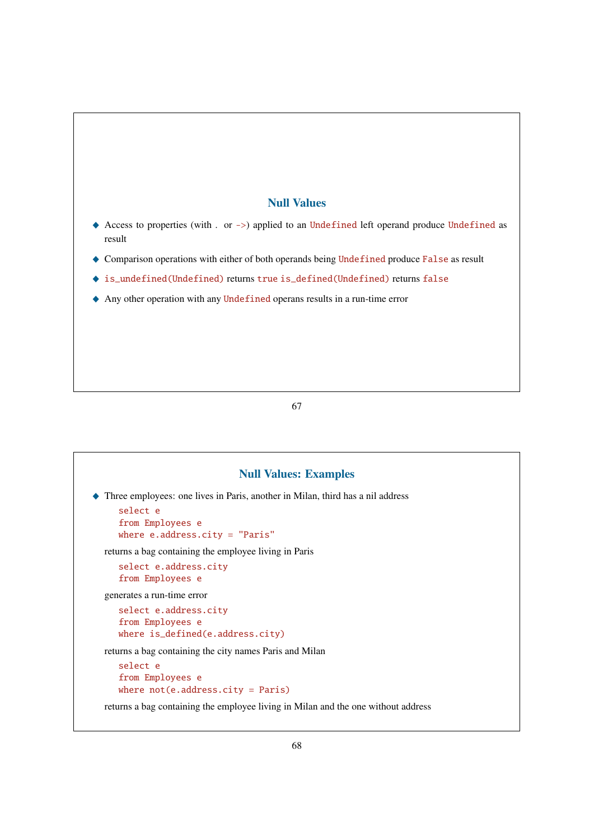## Null Values

- Access to properties (with . or ->) applied to an Undefined left operand produce Undefined as result
- ◆ Comparison operations with either of both operands being Undefined produce False as result
- ◆ is\_undefined(Undefined) returns true is\_defined(Undefined) returns false
- Any other operation with any Undefined operans results in a run-time error

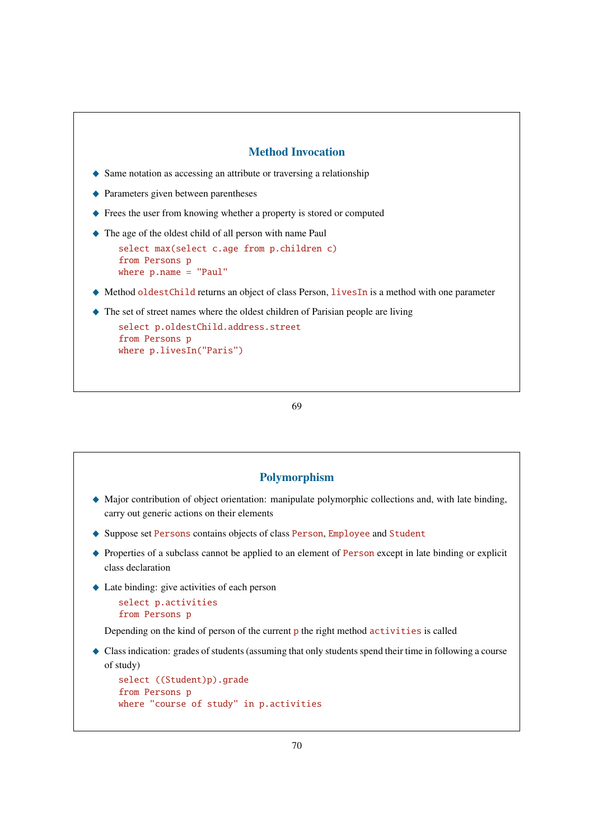#### Method Invocation

- $\blacklozenge$  Same notation as accessing an attribute or traversing a relationship
- $\triangle$  Parameters given between parentheses
- ◆ Frees the user from knowing whether a property is stored or computed
- \_ The age of the oldest child of all person with name Paul

```
select max(select c.age from p.children c)
from Persons p
where p.name = "Paul"
```
- ◆ Method oldestChild returns an object of class Person, livesIn is a method with one parameter
- $\triangle$  The set of street names where the oldest children of Parisian people are living

```
select p.oldestChild.address.street
from Persons p
where p.livesIn("Paris")
```
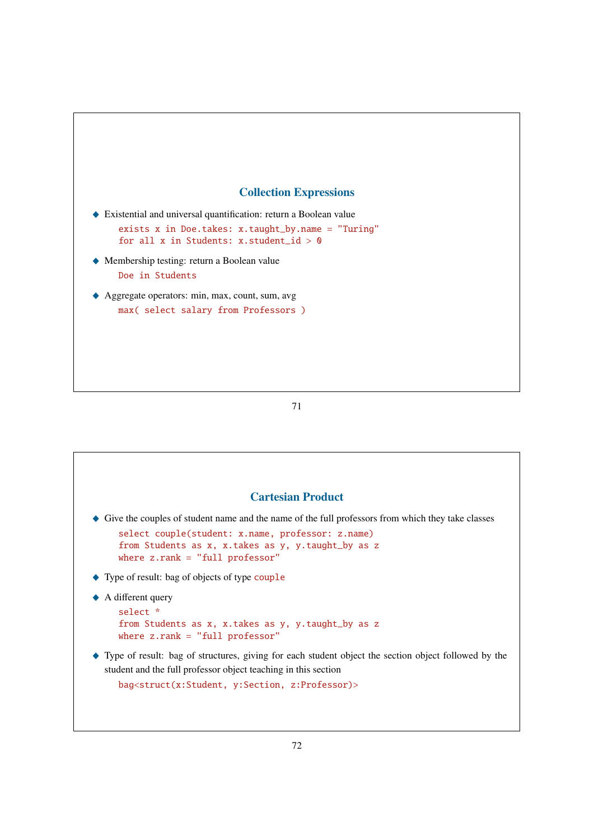## Collection Expressions

- $\blacklozenge$  Existential and universal quantification: return a Boolean value exists x in Doe.takes: x.taught\_by.name = "Turing" for all x in Students: x.student  $id > 0$
- \_ Membership testing: return a Boolean value Doe in Students
- ◆ Aggregate operators: min, max, count, sum, avg max( select salary from Professors )

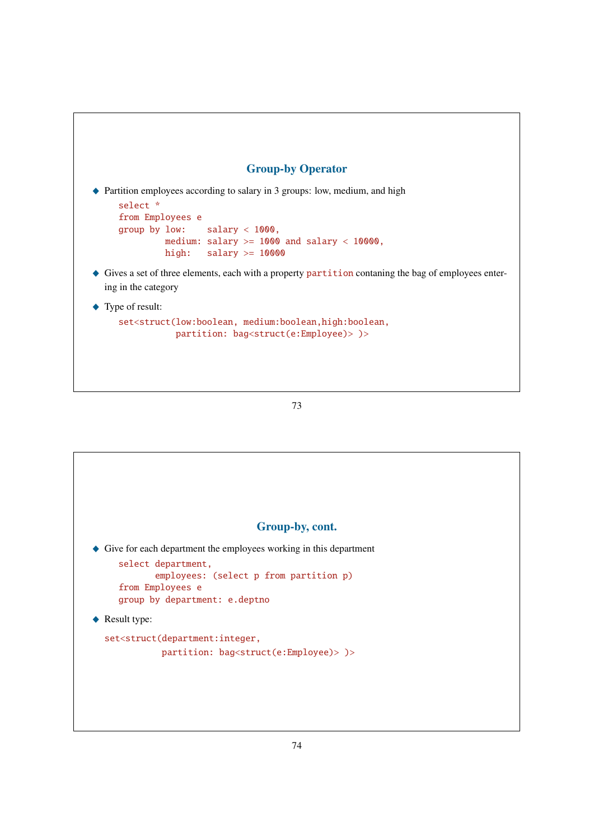# Group-by Operator

\_ Partition employees according to salary in 3 groups: low, medium, and high

```
select *
from Employees e
group by low: salary < 1000,
        medium: salary >= 1000 and salary < 10000,
        high: salary >= 10000
```
- $\triangle$  Gives a set of three elements, each with a property partition contaning the bag of employees entering in the category
- ◆ Type of result:

```
set<struct(low:boolean, medium:boolean,high:boolean,
          partition: bag<struct(e:Employee)> )>
```
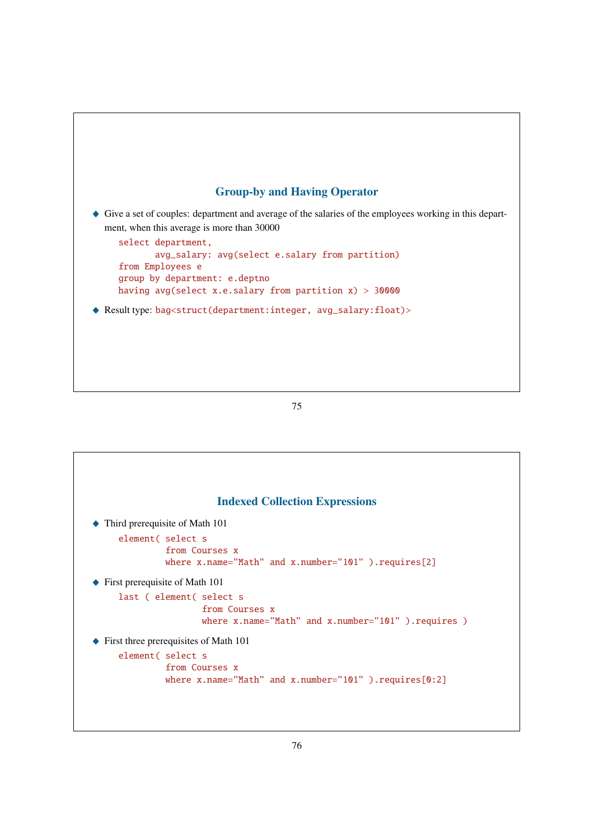

\_ Give a set of couples: department and average of the salaries of the employees working in this department, when this average is more than 30000

```
select department,
       avg_salary: avg(select e.salary from partition)
from Employees e
group by department: e.deptno
having avg(select x.e.salary from partition x) > 30000
```
\_ Result type: bag<struct(department:integer, avg\_salary:float)>



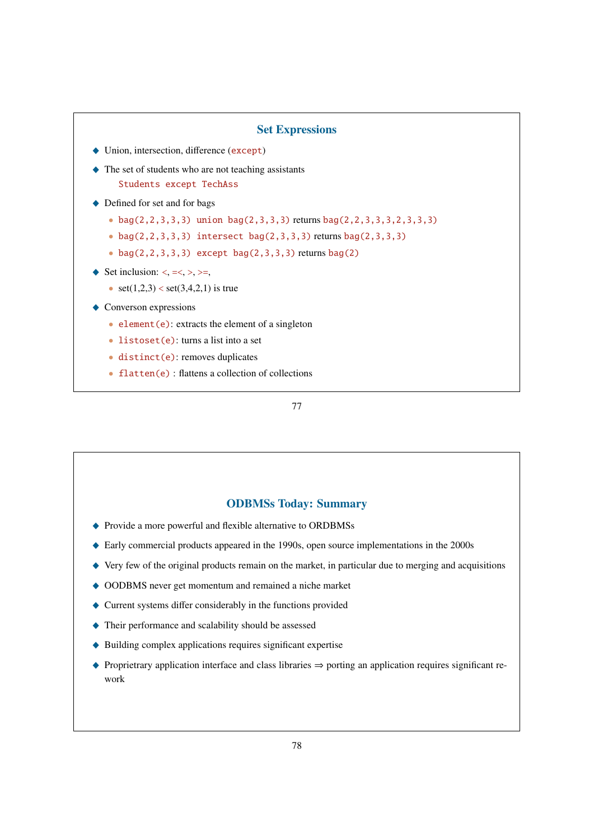## Set Expressions

- $\blacklozenge$  Union, intersection, difference (except)
- $\triangle$  The set of students who are not teaching assistants Students except TechAss
- $\triangle$  Defined for set and for bags
	- bag(2,2,3,3,3) union bag(2,3,3,3) returns bag(2,2,3,3,3,2,3,3,3)
	- $bag(2,2,3,3,3)$  intersect  $bag(2,3,3,3)$  returns  $bag(2,3,3,3)$
	- $bag(2,2,3,3,3)$  except  $bag(2,3,3,3)$  returns  $bag(2)$
- $\blacklozenge$  Set inclusion: <, =<, >, >=,
	- set $(1,2,3)$  < set $(3,4,2,1)$  is true
- $\triangle$  Converson expressions
	- element $(e)$ : extracts the element of a singleton
	- listoset(e): turns a list into a set
	- distinct(e): removes duplicates
	- $\bullet$   $f$ latten(e) : flattens a collection of collections

77

### ODBMSs Today: Summary

- \_ Provide a more powerful and flexible alternative to ORDBMSs
- \_ Early commercial products appeared in the 1990s, open source implementations in the 2000s
- $\blacklozenge$  Very few of the original products remain on the market, in particular due to merging and acquisitions
- ◆ OODBMS never get momentum and remained a niche market
- $\triangle$  Current systems differ considerably in the functions provided
- $\blacklozenge$  Their performance and scalability should be assessed
- $\blacklozenge$  Building complex applications requires significant expertise
- $\triangle$  Proprietrary application interface and class libraries  $\Rightarrow$  porting an application requires significant rework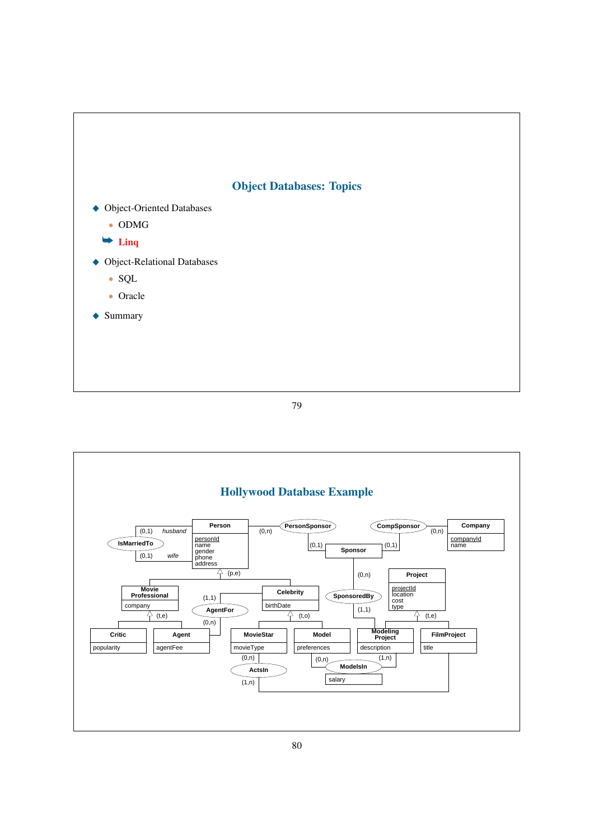

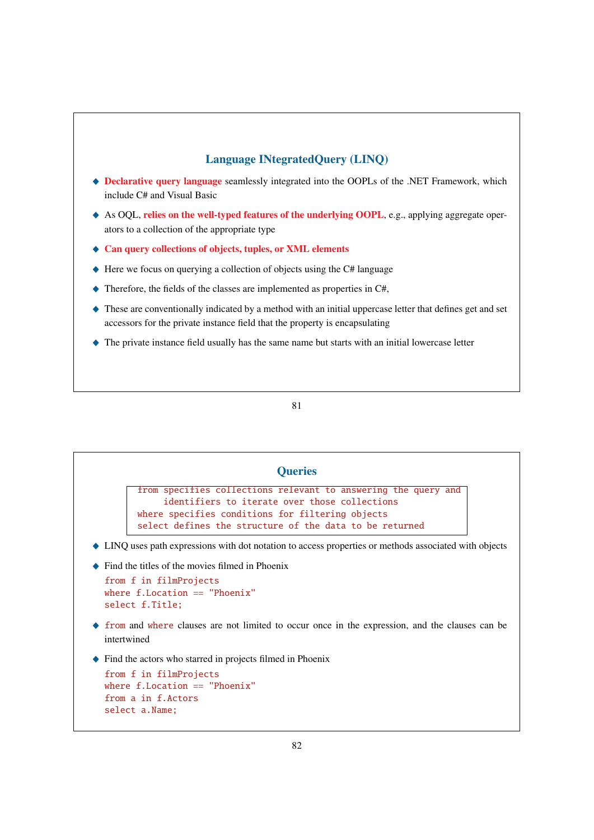# Language INtegratedQuery (LINQ)

- ◆ Declarative query language seamlessly integrated into the OOPLs of the .NET Framework, which include C# and Visual Basic
- ◆ As OQL, relies on the well-typed features of the underlying OOPL, e.g., applying aggregate operators to a collection of the appropriate type
- ◆ Can query collections of objects, tuples, or XML elements
- $\triangle$  Here we focus on querying a collection of objects using the C# language
- $\blacklozenge$  Therefore, the fields of the classes are implemented as properties in C#,
- \_ These are conventionally indicated by a method with an initial uppercase letter that defines get and set accessors for the private instance field that the property is encapsulating
- \_ The private instance field usually has the same name but starts with an initial lowercase letter

| <b>Queries</b>                                                                                                                                            |                                                                                                                                                                                                                                |  |  |  |
|-----------------------------------------------------------------------------------------------------------------------------------------------------------|--------------------------------------------------------------------------------------------------------------------------------------------------------------------------------------------------------------------------------|--|--|--|
|                                                                                                                                                           | from specifies collections relevant to answering the query and<br>identifiers to iterate over those collections<br>where specifies conditions for filtering objects<br>select defines the structure of the data to be returned |  |  |  |
| • LINQ uses path expressions with dot notation to access properties or methods associated with objects<br>Find the titles of the movies filmed in Phoenix |                                                                                                                                                                                                                                |  |  |  |
|                                                                                                                                                           | from f in filmProjects<br>where $f_{\text{r}}$ . Location $==$ "Phoenix"<br>select f.Title;                                                                                                                                    |  |  |  |
|                                                                                                                                                           | $\blacklozenge$ from and where clauses are not limited to occur once in the expression, and the clauses can be<br>intertwined                                                                                                  |  |  |  |
|                                                                                                                                                           | Find the actors who starred in projects filmed in Phoenix<br>from f in filmProjects                                                                                                                                            |  |  |  |

```
where f.Location == "Phoenix"
from a in f.Actors
select a.Name;
```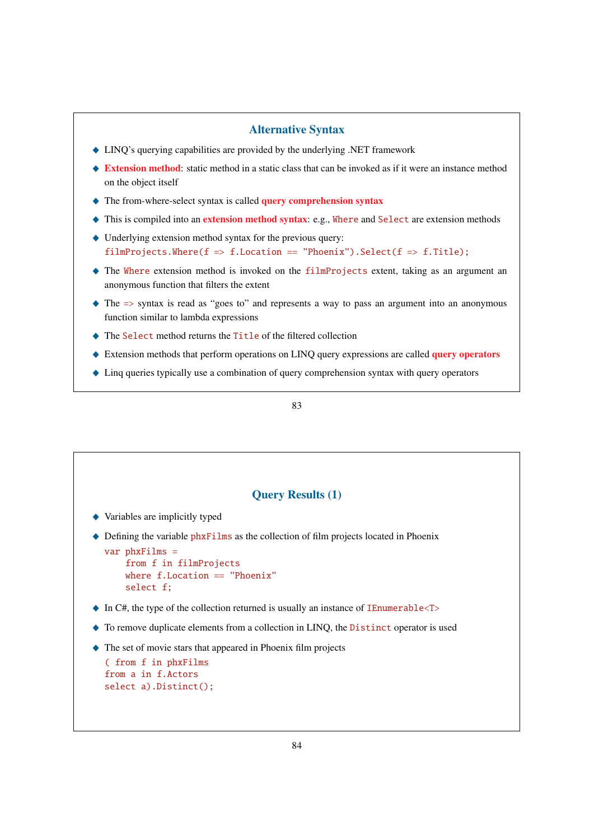## Alternative Syntax

- \_ LINQ's querying capabilities are provided by the underlying .NET framework
- ♦ Extension method: static method in a static class that can be invoked as if it were an instance method on the object itself
- $\triangle$  The from-where-select syntax is called query comprehension syntax
- $\triangle$  This is compiled into an extension method syntax: e.g., Where and Select are extension methods
- $\blacklozenge$  Underlying extension method syntax for the previous query: filmProjects.Where(f => f.Location == "Phoenix").Select(f => f.Title);
- \_ The Where extension method is invoked on the filmProjects extent, taking as an argument an anonymous function that filters the extent
- $\triangle$  The  $\Rightarrow$  syntax is read as "goes to" and represents a way to pass an argument into an anonymous function similar to lambda expressions
- \_ The Select method returns the Title of the filtered collection
- $\triangle$  Extension methods that perform operations on LINQ query expressions are called query operators
- $\blacklozenge$  Linq queries typically use a combination of query comprehension syntax with query operators

|                                                                      | <b>Query Results (1)</b>                                                                                                |
|----------------------------------------------------------------------|-------------------------------------------------------------------------------------------------------------------------|
| Variables are implicitly typed                                       |                                                                                                                         |
| $var phxFilms =$<br>from f in filmProjects<br>select f:              | Defining the variable phxFilms as the collection of film projects located in Phoenix<br>where $f.Location == "Phoenix"$ |
|                                                                      | $\blacklozenge$ In C#, the type of the collection returned is usually an instance of <b>IE</b> numerable $\lt$ T>       |
|                                                                      | To remove duplicate elements from a collection in LINQ, the Distinct operator is used                                   |
| (from f in phxFilms)<br>from a in f.Actors<br>select a). Distinct(); | The set of movie stars that appeared in Phoenix film projects                                                           |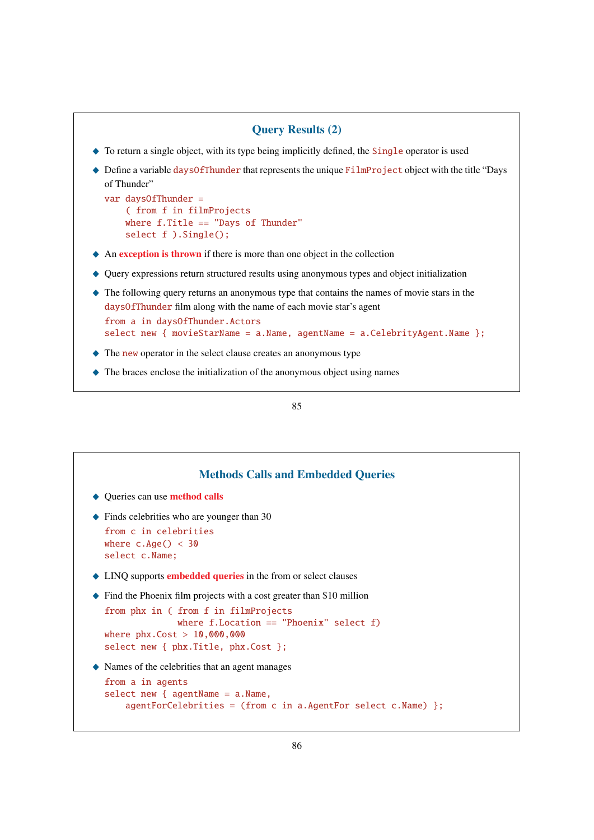

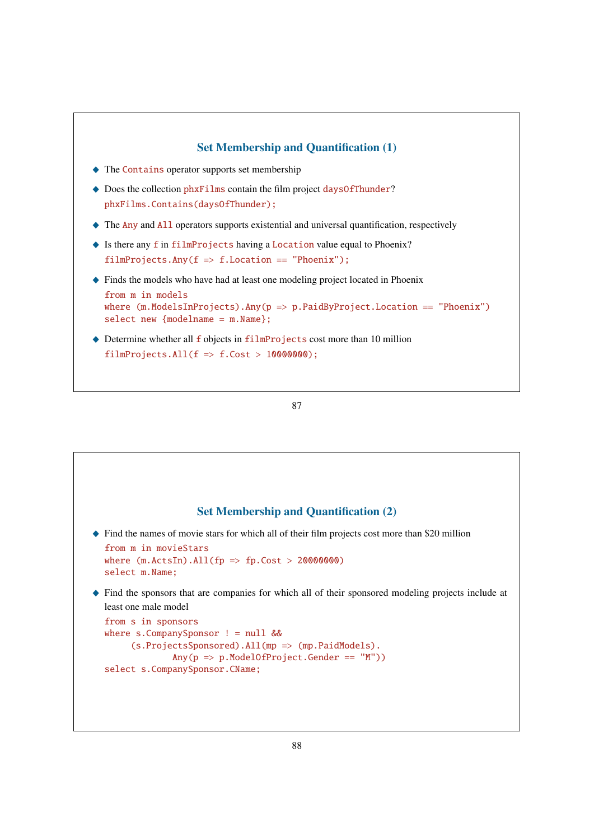

```
87
```
# Set Membership and Quantification (2)

 $\blacklozenge$  Find the names of movie stars for which all of their film projects cost more than \$20 million

```
from m in movieStars
where (m.ActsIn).All(fp \Rightarrow fp.Cost > 20000000)select m.Name;
```
\_ Find the sponsors that are companies for which all of their sponsored modeling projects include at least one male model

```
from s in sponsors
where s.CompanySponsor ! = null &&
     (s.ProjectsSponsored).All(mp => (mp.PaidModels).
             Any(p \Rightarrow p.Model0fProject.Gender == "M")select s.CompanySponsor.CName;
```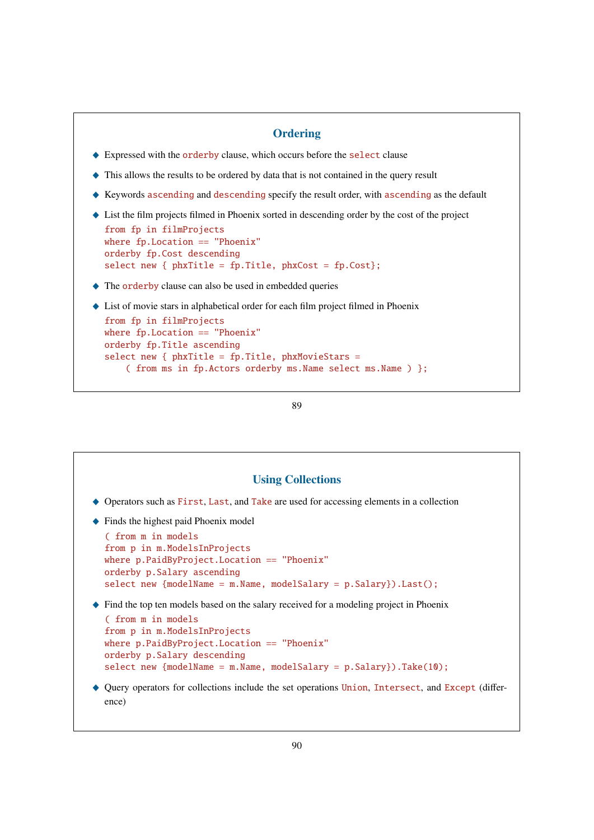### **Ordering**

- ◆ Expressed with the orderby clause, which occurs before the select clause
- $\blacklozenge$  This allows the results to be ordered by data that is not contained in the query result
- $\blacklozenge$  Keywords ascending and descending specify the result order, with ascending as the default
- $\blacklozenge$  List the film projects filmed in Phoenix sorted in descending order by the cost of the project

```
from fp in filmProjects
where fp.Location == "Phoenix"orderby fp.Cost descending
select new { phxTitle = fp.Title, phxCost = fp.Cost};
```
- $\triangle$  The orderby clause can also be used in embedded queries
- $\blacklozenge$  List of movie stars in alphabetical order for each film project filmed in Phoenix

```
from fp in filmProjects
where fp.Location == "Phoenix"
orderby fp.Title ascending
select new { phxTitle = fp.Title, phxMovieStars =( from ms in fp.Actors orderby ms.Name select ms.Name ) };
```

```
89
```
### Using Collections

- ◆ Operators such as First, Last, and Take are used for accessing elements in a collection
- $\blacklozenge$  Finds the highest paid Phoenix model

```
( from m in models
from p in m.ModelsInProjects
where p.PaidByProject.Location == "Phoenix"
orderby p.Salary ascending
select new {modelName = m.Name, modelSalary = p.Salary}).Last();
```
 $\blacklozenge$  Find the top ten models based on the salary received for a modeling project in Phoenix

```
( from m in models
from p in m.ModelsInProjects
where p.PaidByProject.Location == "Phoenix"
orderby p.Salary descending
select new {modelName = m.Name, modelSalary = p.Salary}).Take(10);
```
\_ Query operators for collections include the set operations Union, Intersect, and Except (difference)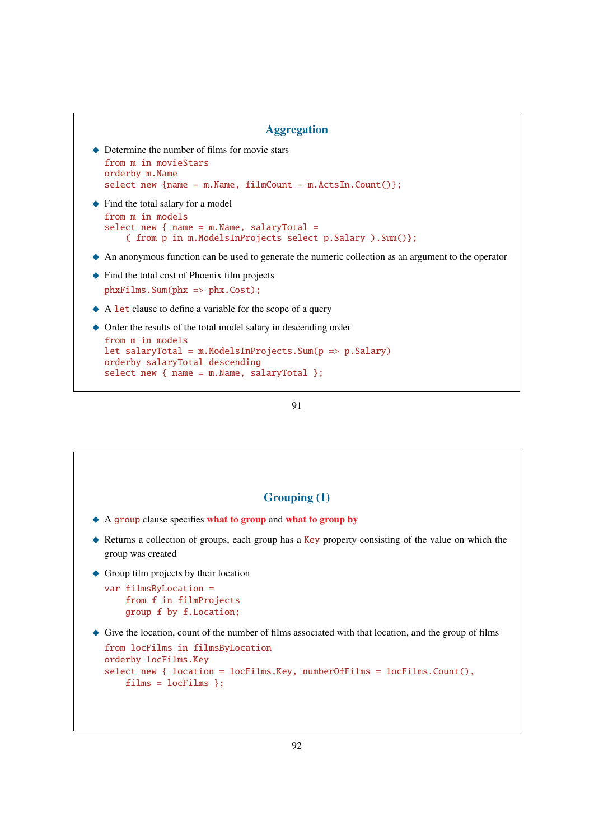```
Aggregation
```

```
\blacklozenge Determine the number of films for movie stars
  from m in movieStars
  orderby m.Name
  select new {name = m.Name, filmCount = m.ActsIn.Count()};
```
 $\triangle$  Find the total salary for a model

```
from m in models
select new { name = m.Name, salaryTotal =
    ( from p in m.ModelsInProjects select p.Salary ).Sum()};
```
 $\triangle$  An anonymous function can be used to generate the numeric collection as an argument to the operator

- ◆ Find the total cost of Phoenix film projects phxFilms.Sum(phx => phx.Cost);
- $\triangle$  A let clause to define a variable for the scope of a query

```
\triangle Order the results of the total model salary in descending order
  from m in models
  let salaryTotal = m.ModelsInProjects.Sum(p \Rightarrow p.Salary)
  orderby salaryTotal descending
  select new { name = m.Name, salaryTotal };
```

```
91
```
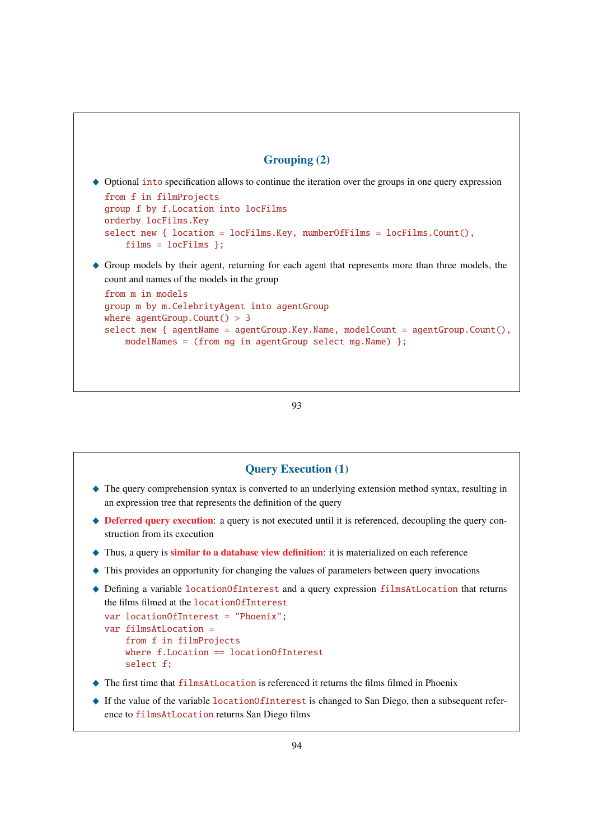# Grouping (2)

- $\triangle$  Optional into specification allows to continue the iteration over the groups in one query expression from f in filmProjects group f by f.Location into locFilms orderby locFilms.Key select new { location = locFilms.Key, numberOfFilms = locFilms.Count(), films = locFilms };
- \_ Group models by their agent, returning for each agent that represents more than three models, the count and names of the models in the group

```
from m in models
group m by m.CelebrityAgent into agentGroup
where agentGroup.Count() > 3select new { agentName = agentGroup.Key.Name, modelCount = agentGroup.Count(),
    modelNames = (from mg in agentGroup select mg.Name) };
```

```
93
```
# Query Execution (1) \_ The query comprehension syntax is converted to an underlying extension method syntax, resulting in an expression tree that represents the definition of the query

- $\triangle$  **Deferred query execution:** a query is not executed until it is referenced, decoupling the query construction from its execution
- $\triangle$  Thus, a query is similar to a database view definition: it is materialized on each reference
- $\blacklozenge$  This provides an opportunity for changing the values of parameters between query invocations
- ◆ Defining a variable locationOfInterest and a query expression filmsAtLocation that returns the films filmed at the locationOfInterest

```
var locationOfInterest = "Phoenix";
var filmsAtLocation =
    from f in filmProjects
    where f_{\text{Location}} = locationOfInterest
    select f;
```
- ◆ The first time that filmsAtLocation is referenced it returns the films filmed in Phoenix
- $\blacklozenge$  If the value of the variable locationOfInterest is changed to San Diego, then a subsequent reference to filmsAtLocation returns San Diego films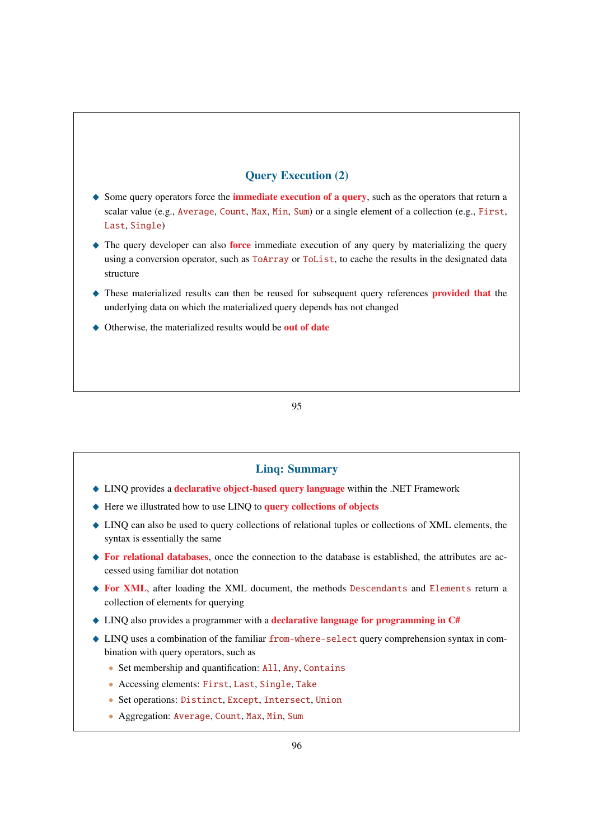# Query Execution (2)

- $\triangle$  Some query operators force the **immediate execution of a query**, such as the operators that return a scalar value (e.g., Average, Count, Max, Min, Sum) or a single element of a collection (e.g., First, Last, Single)
- $\blacklozenge$  The query developer can also **force** immediate execution of any query by materializing the query using a conversion operator, such as ToArray or ToList, to cache the results in the designated data structure
- These materialized results can then be reused for subsequent query references **provided that** the underlying data on which the materialized query depends has not changed
- $\triangle$  Otherwise, the materialized results would be out of date

95

## Linq: Summary

- ◆ LINQ provides a declarative object-based query language within the .NET Framework
- ◆ Here we illustrated how to use LINQ to query collections of objects
- \_ LINQ can also be used to query collections of relational tuples or collections of XML elements, the syntax is essentially the same
- $\blacklozenge$  For relational databases, once the connection to the database is established, the attributes are accessed using familiar dot notation
- ◆ For XML, after loading the XML document, the methods Descendants and Elements return a collection of elements for querying
- $\triangle$  LINQ also provides a programmer with a **declarative language for programming in C#**
- \_ LINQ uses a combination of the familiar from-where-select query comprehension syntax in combination with query operators, such as
	- Set membership and quantification: All, Any, Contains
	- Accessing elements: First, Last, Single, Take
	- Set operations: Distinct, Except, Intersect, Union
	- Aggregation: Average, Count, Max, Min, Sum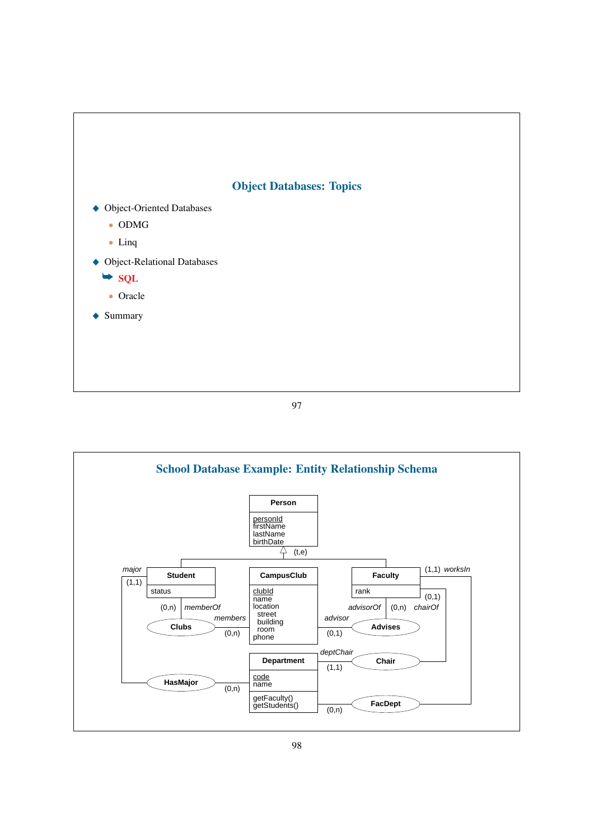

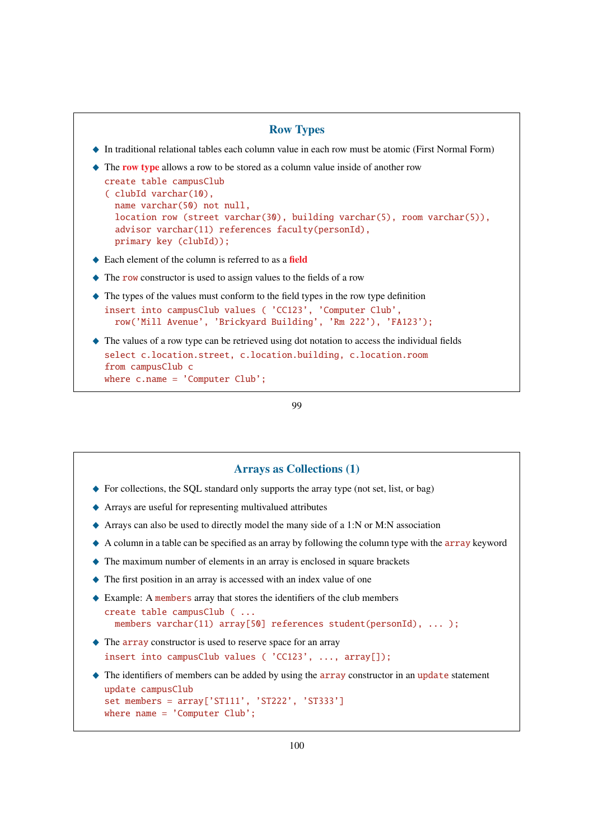```
Row Types
_ In traditional relational tables each column value in each row must be atomic (First Normal Form)
\triangle The row type allows a row to be stored as a column value inside of another row
  create table campusClub
  ( clubId varchar(10),
    name varchar(50) not null,
     location row (street varchar(30), building varchar(5), room varchar(5)),
     advisor varchar(11) references faculty(personId),
     primary key (clubId));
\triangle Each element of the column is referred to as a field
\triangle The row constructor is used to assign values to the fields of a row
\blacklozenge The types of the values must conform to the field types in the row type definition
  insert into campusClub values ( 'CC123', 'Computer Club',
     row('Mill Avenue', 'Brickyard Building', 'Rm 222'), 'FA123');
\blacklozenge The values of a row type can be retrieved using dot notation to access the individual fields
  select c.location.street, c.location.building, c.location.room
  from campusClub c
  where c.name = 'Computer Club';
```

```
99
```
## Arrays as Collections (1)

- $\blacklozenge$  For collections, the SQL standard only supports the array type (not set, list, or bag)
- \_ Arrays are useful for representing multivalued attributes
- $\triangle$  Arrays can also be used to directly model the many side of a 1:N or M:N association
- $\triangle$  A column in a table can be specified as an array by following the column type with the array keyword
- $\triangle$  The maximum number of elements in an array is enclosed in square brackets
- $\blacklozenge$  The first position in an array is accessed with an index value of one
- Example: A members array that stores the identifiers of the club members

```
create table campusClub ( ...
  members varchar(11) array[50] references student(personId), ... );
```
- $\triangle$  The array constructor is used to reserve space for an array insert into campusClub values ( 'CC123', ..., array[]);
- $\triangle$  The identifiers of members can be added by using the array constructor in an update statement update campusClub set members = array['ST111', 'ST222', 'ST333'] where name = 'Computer Club';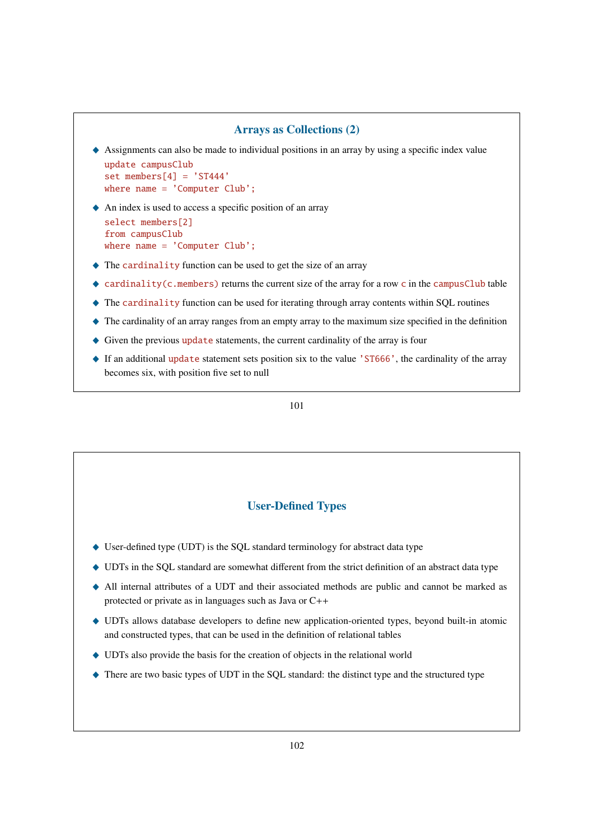### Arrays as Collections (2)

 $\triangle$  Assignments can also be made to individual positions in an array by using a specific index value update campusClub

```
set members[4] = 'ST444'where name = 'Computer Club';
```
- $\blacklozenge$  An index is used to access a specific position of an array select members[2] from campusClub where name = 'Computer Club';
- $\triangle$  The cardinality function can be used to get the size of an array
- ◆ cardinality(c.members) returns the current size of the array for a row c in the campusClub table
- $\triangle$  The cardinality function can be used for iterating through array contents within SQL routines
- $\triangle$  The cardinality of an array ranges from an empty array to the maximum size specified in the definition
- ♦ Given the previous update statements, the current cardinality of the array is four
- ◆ If an additional update statement sets position six to the value 'ST666', the cardinality of the array becomes six, with position five set to null

101

## User-Defined Types

- ◆ User-defined type (UDT) is the SQL standard terminology for abstract data type
- \_ UDTs in the SQL standard are somewhat different from the strict definition of an abstract data type
- \_ All internal attributes of a UDT and their associated methods are public and cannot be marked as protected or private as in languages such as Java or C++
- \_ UDTs allows database developers to define new application-oriented types, beyond built-in atomic and constructed types, that can be used in the definition of relational tables
- $\blacklozenge$  UDTs also provide the basis for the creation of objects in the relational world
- $\triangle$  There are two basic types of UDT in the SQL standard: the distinct type and the structured type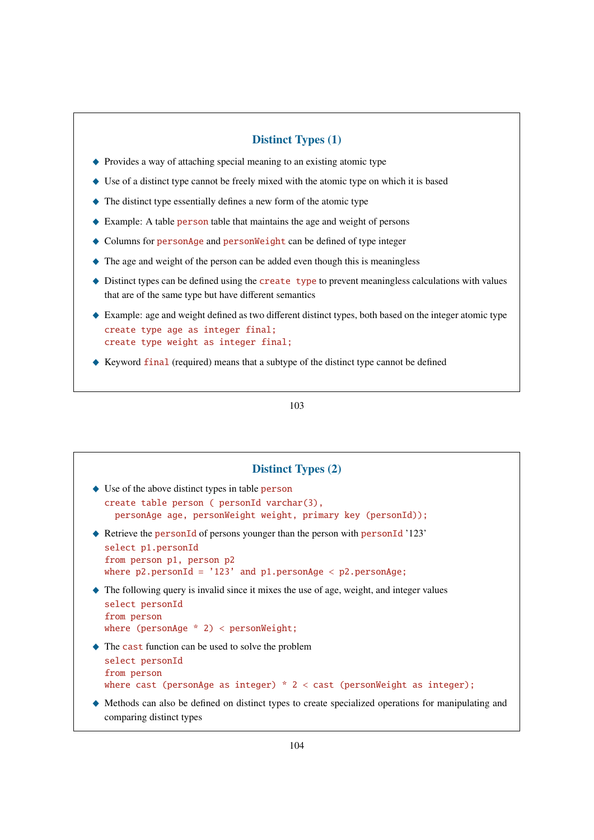## Distinct Types (1)

- $\triangle$  Provides a way of attaching special meaning to an existing atomic type
- $\blacklozenge$  Use of a distinct type cannot be freely mixed with the atomic type on which it is based
- $\blacklozenge$  The distinct type essentially defines a new form of the atomic type
- ◆ Example: A table person table that maintains the age and weight of persons
- $\triangle$  Columns for personAge and personWeight can be defined of type integer
- $\triangle$  The age and weight of the person can be added even though this is meaningless
- $\triangle$  Distinct types can be defined using the create type to prevent meaningless calculations with values that are of the same type but have different semantics
- $\triangle$  Example: age and weight defined as two different distinct types, both based on the integer atomic type create type age as integer final; create type weight as integer final;
- \_ Keyword final (required) means that a subtype of the distinct type cannot be defined

| <b>Distinct Types (2)</b>                                                                                                                                                                                          |
|--------------------------------------------------------------------------------------------------------------------------------------------------------------------------------------------------------------------|
| $\bullet$ Use of the above distinct types in table person<br>$create$ table person ( $personId$ varchar $(3)$ ,<br>personAge age, personWeight weight, primary key (personId));                                    |
| $\blacklozenge$ Retrieve the personId of persons younger than the person with personId '123'<br>select p1.personId<br>from person p1, person p2<br>where $p2.personId = '123'$ and $p1.personAge < p2.personAge$ ; |
| $\blacklozenge$ The following query is invalid since it mixes the use of age, weight, and integer values<br>select personId<br>from person<br>where ( $personAge * 2$ ) < $personWeight;$                          |
| $\triangle$ The cast function can be used to solve the problem<br>select personId<br>from person<br>where cast (personAge as integer) $*$ 2 < cast (personWeight as integer);                                      |
| • Methods can also be defined on distinct types to create specialized operations for manipulating and<br>comparing distinct types                                                                                  |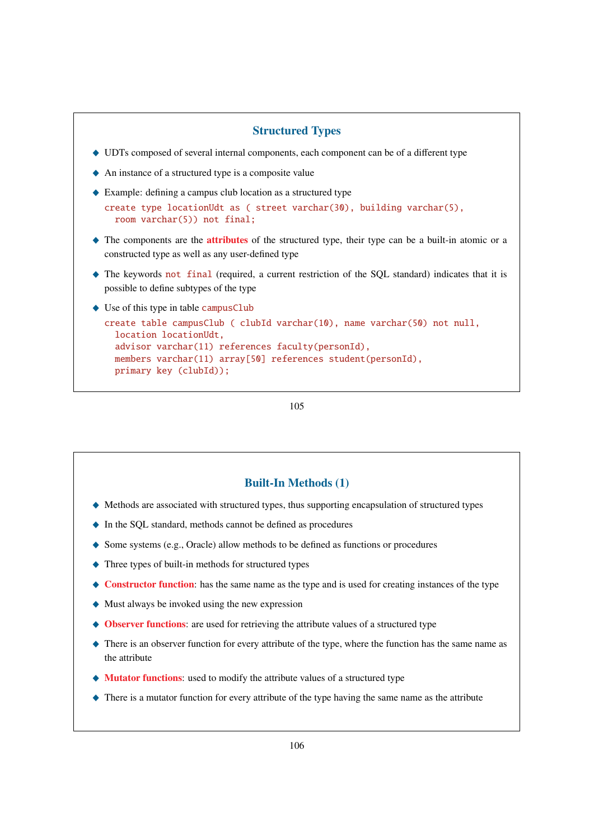### Structured Types

- \_ UDTs composed of several internal components, each component can be of a different type
- $\triangle$  An instance of a structured type is a composite value
- $\triangle$  Example: defining a campus club location as a structured type
- create type locationUdt as ( street varchar(30), building varchar(5), room varchar(5)) not final;
- $\triangle$  The components are the **attributes** of the structured type, their type can be a built-in atomic or a constructed type as well as any user-defined type
- \_ The keywords not final (required, a current restriction of the SQL standard) indicates that it is possible to define subtypes of the type
- $\triangleleft$  Use of this type in table campusClub

```
create table campusClub ( clubId varchar(10), name varchar(50) not null,
  location locationUdt,
  advisor varchar(11) references faculty(personId),
  members varchar(11) array[50] references student(personId),
  primary key (clubId));
```
105

### Built-In Methods (1)

- $\blacklozenge$  Methods are associated with structured types, thus supporting encapsulation of structured types
- \_ In the SQL standard, methods cannot be defined as procedures
- $\blacklozenge$  Some systems (e.g., Oracle) allow methods to be defined as functions or procedures
- $\blacklozenge$  Three types of built-in methods for structured types
- $\triangle$  Constructor function: has the same name as the type and is used for creating instances of the type
- $\blacklozenge$  Must always be invoked using the new expression
- $\triangle$  Observer functions: are used for retrieving the attribute values of a structured type
- $\triangle$  There is an observer function for every attribute of the type, where the function has the same name as the attribute
- $\blacklozenge$  Mutator functions: used to modify the attribute values of a structured type
- $\triangle$  There is a mutator function for every attribute of the type having the same name as the attribute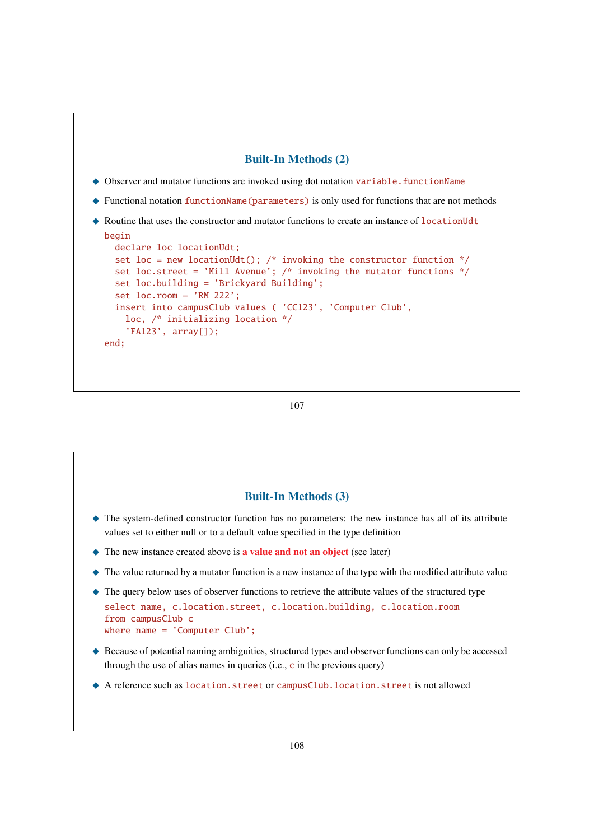

```
107
```
# Built-In Methods (3)

- \_ The system-defined constructor function has no parameters: the new instance has all of its attribute values set to either null or to a default value specified in the type definition
- $\blacklozenge$  The new instance created above is **a value and not an object** (see later)
- $\blacklozenge$  The value returned by a mutator function is a new instance of the type with the modified attribute value
- \_ The query below uses of observer functions to retrieve the attribute values of the structured type select name, c.location.street, c.location.building, c.location.room from campusClub c where  $name = 'Computer Club':$
- \_ Because of potential naming ambiguities, structured types and observer functions can only be accessed through the use of alias names in queries (i.e.,  $\bf{c}$  in the previous query)
- \_ A reference such as location.street or campusClub.location.street is not allowed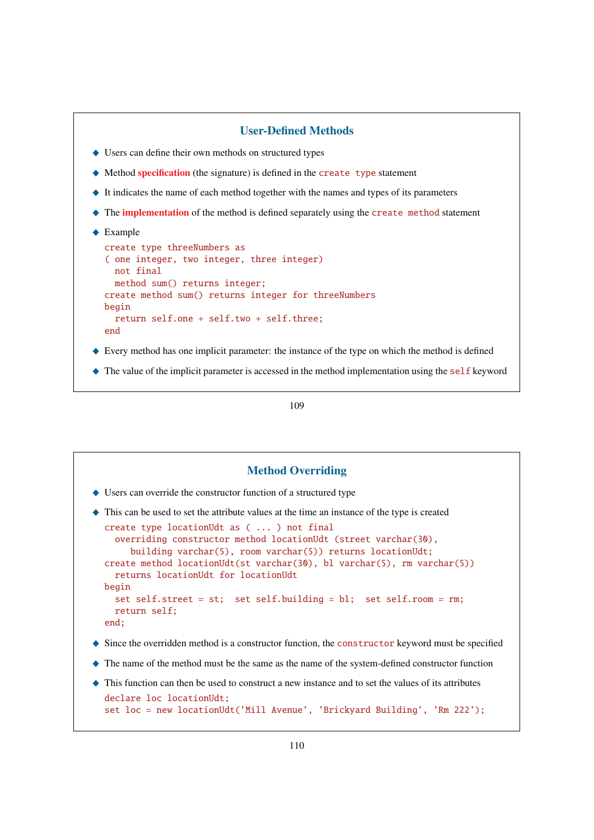```
User-Defined Methods
\blacklozenge Users can define their own methods on structured types
\blacklozenge Method specification (the signature) is defined in the create type statement
\blacklozenge It indicates the name of each method together with the names and types of its parameters
\triangle The implementation of the method is defined separately using the create method statement
\triangle Example
  create type threeNumbers as
  ( one integer, two integer, three integer)
    not final
     method sum() returns integer;
  create method sum() returns integer for threeNumbers
  begin
     return self.one + self.two + self.three;
  end
\blacklozenge Every method has one implicit parameter: the instance of the type on which the method is defined
\triangle The value of the implicit parameter is accessed in the method implementation using the self keyword
```

```
109
```
## Method Overriding

 $\blacklozenge$  Users can override the constructor function of a structured type

```
\blacklozenge This can be used to set the attribute values at the time an instance of the type is created
  create type locationUdt as ( ... ) not final
    overriding constructor method locationUdt (street varchar(30),
       building varchar(5), room varchar(5)) returns locationUdt;
  create method locationUdt(st varchar(30), bl varchar(5), rm varchar(5))
    returns locationUdt for locationUdt
  begin
    set self.street = st; set self.building = bl; set self.room = rm;
    return self;
  end;
```
- $\blacklozenge$  Since the overridden method is a constructor function, the constructor keyword must be specified
- $\blacklozenge$  The name of the method must be the same as the name of the system-defined constructor function
- \_ This function can then be used to construct a new instance and to set the values of its attributes declare loc locationUdt; set loc = new locationUdt('Mill Avenue', 'Brickyard Building', 'Rm 222');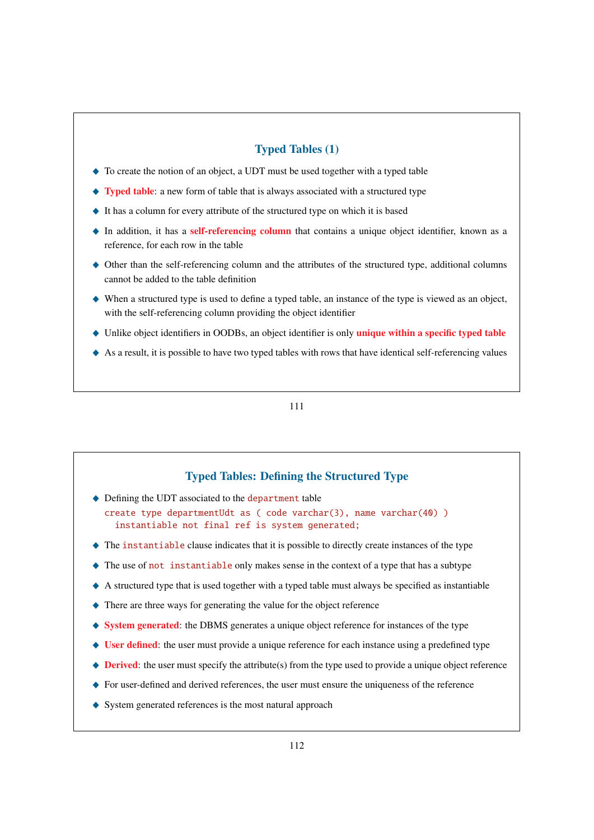# Typed Tables (1)

- $\triangle$  To create the notion of an object, a UDT must be used together with a typed table
- $\rightarrow$  Typed table: a new form of table that is always associated with a structured type
- \_ It has a column for every attribute of the structured type on which it is based
- ◆ In addition, it has a self-referencing column that contains a unique object identifier, known as a reference, for each row in the table
- \_ Other than the self-referencing column and the attributes of the structured type, additional columns cannot be added to the table definition
- $\blacklozenge$  When a structured type is used to define a typed table, an instance of the type is viewed as an object, with the self-referencing column providing the object identifier
- $\bullet$  Unlike object identifiers in OODBs, an object identifier is only unique within a specific typed table
- $\triangle$  As a result, it is possible to have two typed tables with rows that have identical self-referencing values

111

# Typed Tables: Defining the Structured Type

 $\triangle$  Defining the UDT associated to the department table

create type departmentUdt as ( code varchar(3), name varchar(40) ) instantiable not final ref is system generated;

- $\blacklozenge$  The instantiable clause indicates that it is possible to directly create instances of the type
- $\triangle$  The use of not instantiable only makes sense in the context of a type that has a subtype
- $\triangle$  A structured type that is used together with a typed table must always be specified as instantiable
- $\triangle$  There are three ways for generating the value for the object reference
- \_ System generated: the DBMS generates a unique object reference for instances of the type
- $\blacklozenge$  User defined: the user must provide a unique reference for each instance using a predefined type
- $\blacklozenge$  **Derived**: the user must specify the attribute(s) from the type used to provide a unique object reference
- ◆ For user-defined and derived references, the user must ensure the uniqueness of the reference
- $\blacklozenge$  System generated references is the most natural approach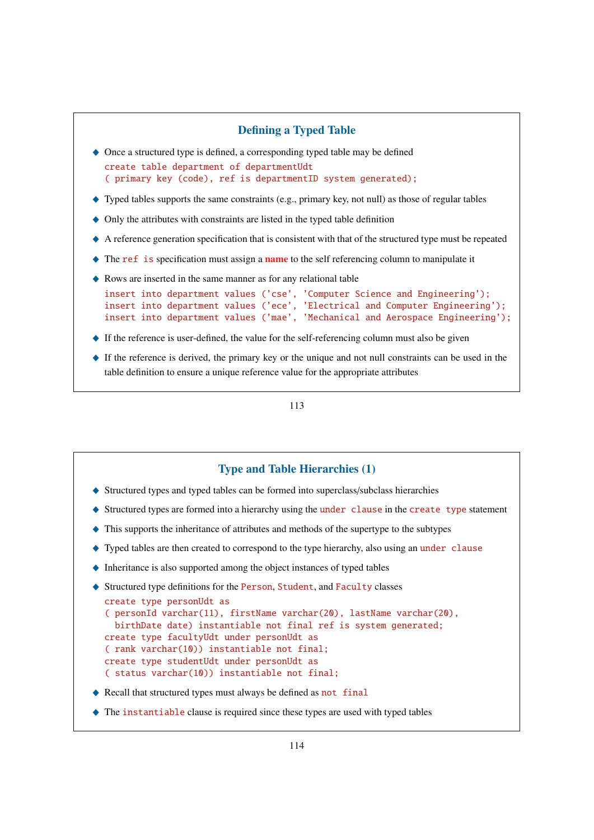

## Type and Table Hierarchies (1)

- \_ Structured types and typed tables can be formed into superclass/subclass hierarchies
- $\triangle$  Structured types are formed into a hierarchy using the under clause in the create type statement
- $\blacklozenge$  This supports the inheritance of attributes and methods of the supertype to the subtypes
- $\blacklozenge$  Typed tables are then created to correspond to the type hierarchy, also using an under clause
- $\blacklozenge$  Inheritance is also supported among the object instances of typed tables

```
◆ Structured type definitions for the Person, Student, and Faculty classes
  create type personUdt as
  ( personId varchar(11), firstName varchar(20), lastName varchar(20),
    birthDate date) instantiable not final ref is system generated;
  create type facultyUdt under personUdt as
  ( rank varchar(10)) instantiable not final;
  create type studentUdt under personUdt as
  ( status varchar(10)) instantiable not final;
```
- Recall that structured types must always be defined as not final
- $\blacklozenge$  The instantiable clause is required since these types are used with typed tables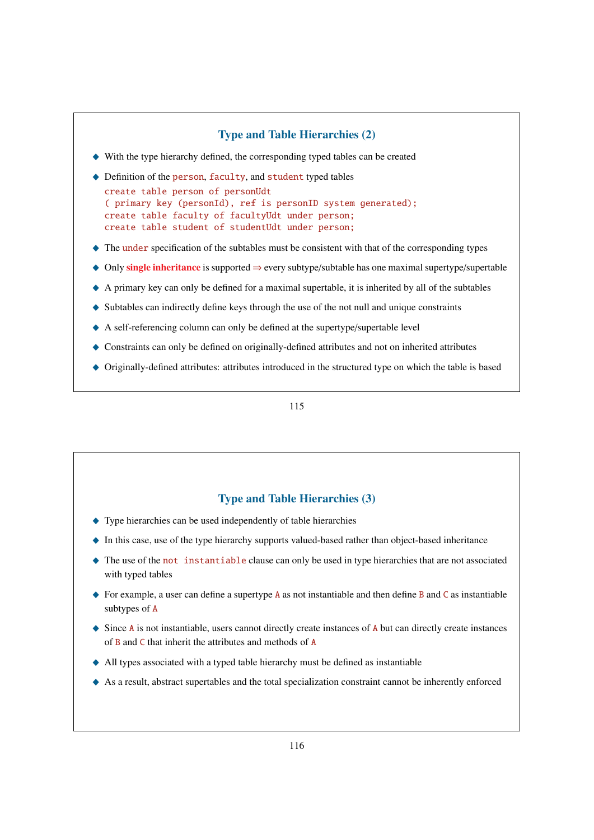# Type and Table Hierarchies (2)  $\blacklozenge$  With the type hierarchy defined, the corresponding typed tables can be created  $\blacklozenge$  Definition of the person, faculty, and student typed tables create table person of personUdt ( primary key (personId), ref is personID system generated); create table faculty of facultyUdt under person; create table student of studentUdt under person;  $\triangle$  The under specification of the subtables must be consistent with that of the corresponding types  $\triangleq$  Only single inheritance is supported ⇒ every subtype/subtable has one maximal supertype/supertable  $\triangle$  A primary key can only be defined for a maximal supertable, it is inherited by all of the subtables  $\blacklozenge$  Subtables can indirectly define keys through the use of the not null and unique constraints  $\blacklozenge$  A self-referencing column can only be defined at the supertype/supertable level \_ Constraints can only be defined on originally-defined attributes and not on inherited attributes \_ Originally-defined attributes: attributes introduced in the structured type on which the table is based

### 115

### Type and Table Hierarchies (3)

- $\blacklozenge$  Type hierarchies can be used independently of table hierarchies
- \_ In this case, use of the type hierarchy supports valued-based rather than object-based inheritance
- $\triangle$  The use of the not instantiable clause can only be used in type hierarchies that are not associated with typed tables
- $\rightarrow$  For example, a user can define a supertype A as not instantiable and then define B and C as instantiable subtypes of A
- $\triangle$  Since A is not instantiable, users cannot directly create instances of A but can directly create instances of B and C that inherit the attributes and methods of A
- \_ All types associated with a typed table hierarchy must be defined as instantiable
- $\triangle$  As a result, abstract supertables and the total specialization constraint cannot be inherently enforced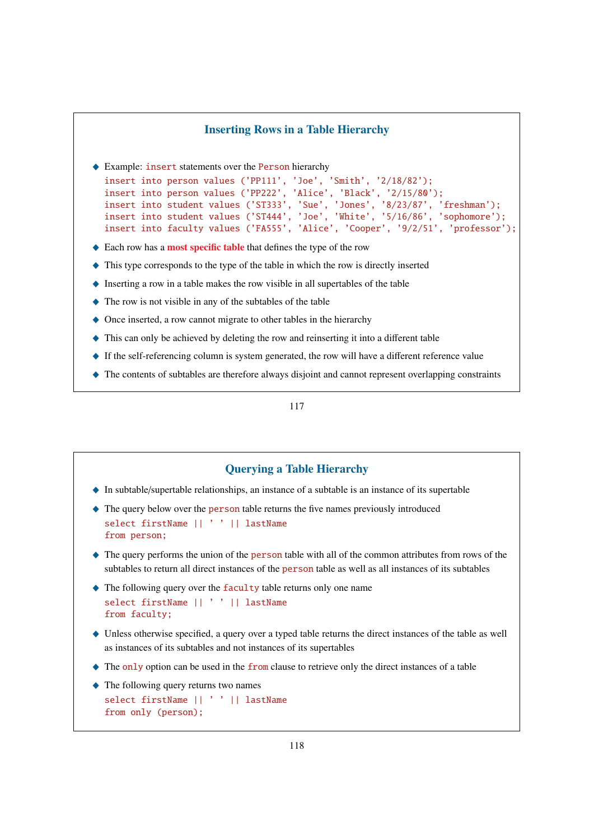### Inserting Rows in a Table Hierarchy

♦ Example: insert statements over the Person hierarchy

```
insert into person values ('PP111', 'Joe', 'Smith', '2/18/82');
insert into person values ('PP222', 'Alice', 'Black', '2/15/80');
insert into student values ('ST333', 'Sue', 'Jones', '8/23/87', 'freshman');
insert into student values ('ST444', 'Joe', 'White', '5/16/86', 'sophomore');
insert into faculty values ('FA555', 'Alice', 'Cooper', '9/2/51', 'professor');
```
- $\triangle$  Each row has a most specific table that defines the type of the row
- $\blacklozenge$  This type corresponds to the type of the table in which the row is directly inserted
- $\triangle$  Inserting a row in a table makes the row visible in all supertables of the table
- $\blacklozenge$  The row is not visible in any of the subtables of the table
- $\triangle$  Once inserted, a row cannot migrate to other tables in the hierarchy
- $\blacklozenge$  This can only be achieved by deleting the row and reinserting it into a different table
- $\triangle$  If the self-referencing column is system generated, the row will have a different reference value
- \_ The contents of subtables are therefore always disjoint and cannot represent overlapping constraints

### 117

## Querying a Table Hierarchy

- $\blacklozenge$  In subtable/supertable relationships, an instance of a subtable is an instance of its supertable
- $\triangle$  The query below over the person table returns the five names previously introduced select firstName || ' ' || lastName from person;
- $\triangle$  The query performs the union of the person table with all of the common attributes from rows of the subtables to return all direct instances of the person table as well as all instances of its subtables
- $\triangle$  The following query over the faculty table returns only one name select firstName || ' ' || lastName from faculty;
- $\blacklozenge$  Unless otherwise specified, a query over a typed table returns the direct instances of the table as well as instances of its subtables and not instances of its supertables
- $\triangle$  The only option can be used in the from clause to retrieve only the direct instances of a table
- $\triangle$  The following query returns two names select firstName || ' ' || lastName from only (person);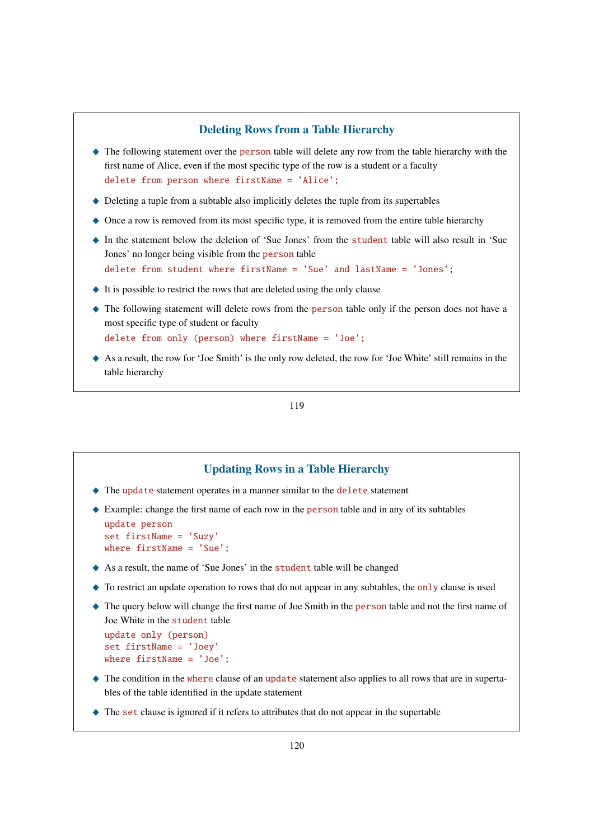## Deleting Rows from a Table Hierarchy

- $\triangle$  The following statement over the person table will delete any row from the table hierarchy with the first name of Alice, even if the most specific type of the row is a student or a faculty delete from person where firstName = 'Alice';
- $\blacklozenge$  Deleting a tuple from a subtable also implicitly deletes the tuple from its supertables
- $\triangle$  Once a row is removed from its most specific type, it is removed from the entire table hierarchy
- \_ In the statement below the deletion of 'Sue Jones' from the student table will also result in 'Sue Jones' no longer being visible from the person table delete from student where firstName = 'Sue' and lastName = 'Jones';
- $\blacklozenge$  It is possible to restrict the rows that are deleted using the only clause
- \_ The following statement will delete rows from the person table only if the person does not have a most specific type of student or faculty delete from only (person) where firstName = 'Joe';
- $\triangle$  As a result, the row for 'Joe Smith' is the only row deleted, the row for 'Joe White' still remains in the table hierarchy

119

## Updating Rows in a Table Hierarchy

- $\blacklozenge$  The update statement operates in a manner similar to the delete statement
- $\triangle$  Example: change the first name of each row in the person table and in any of its subtables

update person set firstName = 'Suzy' where firstName = 'Sue';

- \_ As a result, the name of 'Sue Jones' in the student table will be changed
- $\triangle$  To restrict an update operation to rows that do not appear in any subtables, the only clause is used
- $\triangle$  The query below will change the first name of Joe Smith in the person table and not the first name of Joe White in the student table

```
update only (person)
set firstName = 'Joey'
where firstName = 'Joe';
```
- $\blacklozenge$  The condition in the where clause of an update statement also applies to all rows that are in supertables of the table identified in the update statement
- $\blacklozenge$  The set clause is ignored if it refers to attributes that do not appear in the supertable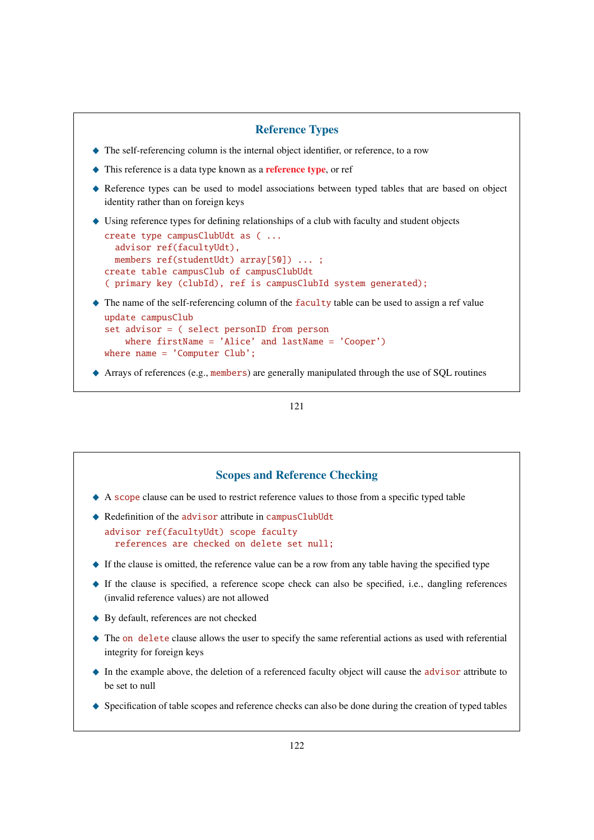### Reference Types

- \_ The self-referencing column is the internal object identifier, or reference, to a row
- $\triangle$  This reference is a data type known as a **reference type**, or ref
- \_ Reference types can be used to model associations between typed tables that are based on object identity rather than on foreign keys
- $\blacklozenge$  Using reference types for defining relationships of a club with faculty and student objects

```
create type campusClubUdt as ( ...
  advisor ref(facultyUdt),
 members ref(studentUdt) array[50]) ... ;
create table campusClub of campusClubUdt
( primary key (clubId), ref is campusClubId system generated);
```
The name of the self-referencing column of the faculty table can be used to assign a ref value

```
update campusClub
set advisor = ( select personID from person
    where firstName = 'Alice' and lastName = 'Cooper')
where name = 'Computer Club';
```
◆ Arrays of references (e.g., members) are generally manipulated through the use of SQL routines

### 121

# Scopes and Reference Checking A scope clause can be used to restrict reference values to those from a specific typed table ◆ Redefinition of the advisor attribute in campusClubUdt advisor ref(facultyUdt) scope faculty references are checked on delete set null;  $\blacklozenge$  If the clause is omitted, the reference value can be a row from any table having the specified type  $\blacklozenge$  If the clause is specified, a reference scope check can also be specified, i.e., dangling references (invalid reference values) are not allowed ◆ By default, references are not checked  $\triangle$  The on delete clause allows the user to specify the same referential actions as used with referential integrity for foreign keys  $\bullet$  In the example above, the deletion of a referenced faculty object will cause the advisor attribute to be set to null  $\bullet$  Specification of table scopes and reference checks can also be done during the creation of typed tables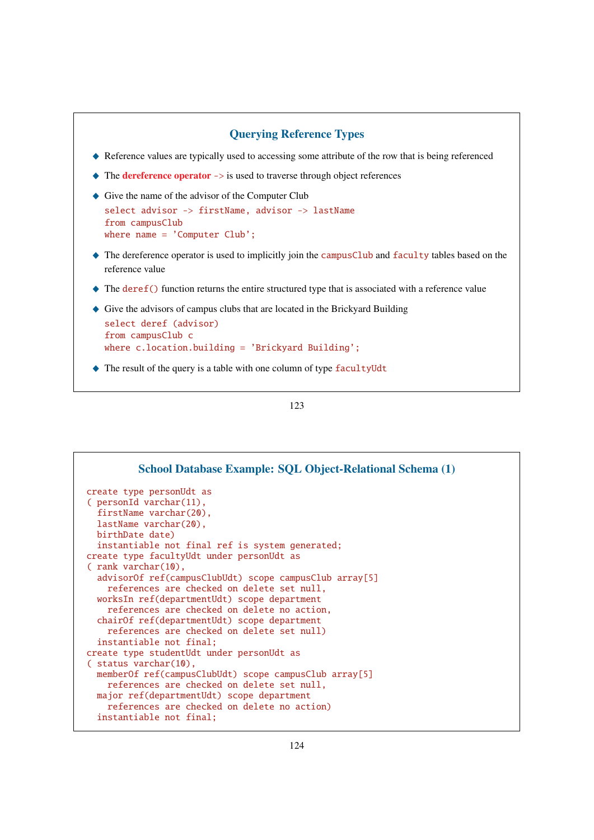```
Querying Reference Types
```
- \_ Reference values are typically used to accessing some attribute of the row that is being referenced
- $\triangle$  The dereference operator  $\rightarrow$  is used to traverse through object references
- $\blacklozenge$  Give the name of the advisor of the Computer Club

```
select advisor -> firstName, advisor -> lastName
from campusClub
where name = 'Computer Club';
```
- $\triangle$  The dereference operator is used to implicitly join the campusClub and faculty tables based on the reference value
- $\triangle$  The deref() function returns the entire structured type that is associated with a reference value
- \_ Give the advisors of campus clubs that are located in the Brickyard Building

```
select deref (advisor)
from campusClub c
where c.location.building = 'Brickyard Building';
```
 $\triangle$  The result of the query is a table with one column of type facultyUdt

| School Database Example: SQL Object-Relational Schema (1) |
|-----------------------------------------------------------|
| create type personudt as                                  |
| $[$ personId varchar $(11)$ ,                             |
| firstName varchar(20),                                    |
| lastName varchar(20),                                     |
| birthDate date)                                           |
| instantiable not final ref is system generated;           |
| create type facultyUdt under personUdt as                 |
| $($ rank varchar $(10)$ .                                 |
| advisorOf ref(campusClubUdt) scope campusClub array[5]    |
| references are checked on delete set null,                |
| worksIn ref(departmentUdt) scope department               |
| references are checked on delete no action,               |
| chairOf ref(departmentUdt) scope department               |
| references are checked on delete set null)                |
| instantiable not final;                                   |
| create type studentUdt under personUdt as                 |
| $($ status varchar $(10)$ ,                               |
| memberOf ref(campusClubUdt) scope campusClub array[5]     |
| references are checked on delete set null,                |
| major ref(departmentUdt) scope department                 |
| references are checked on delete no action)               |
| instantiable not final;                                   |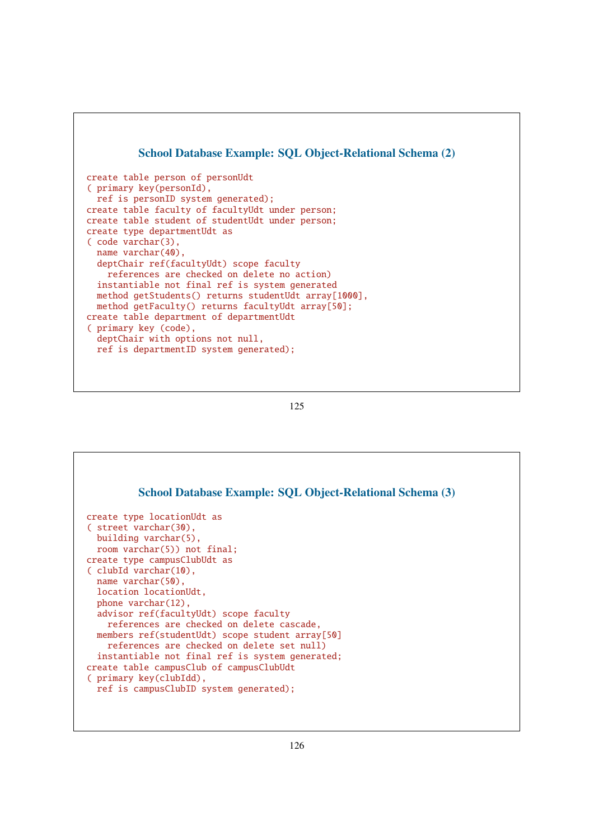



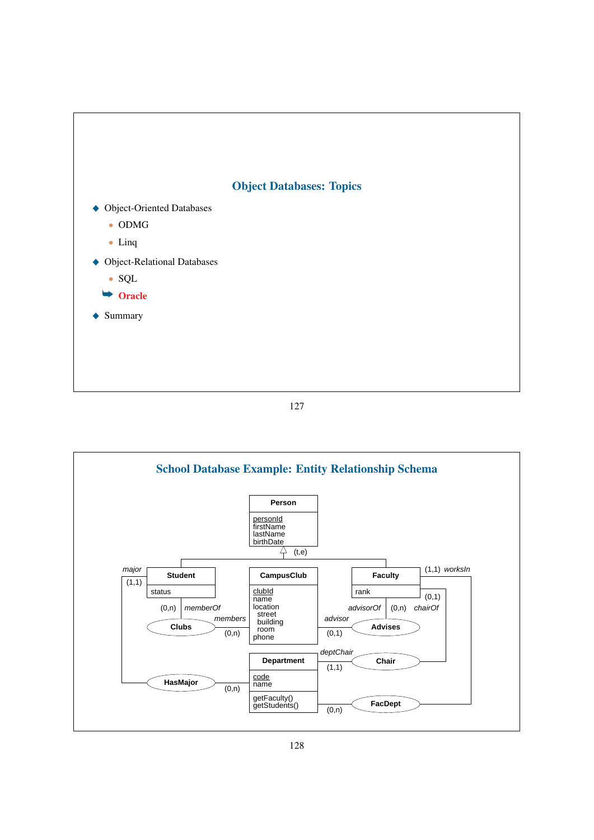

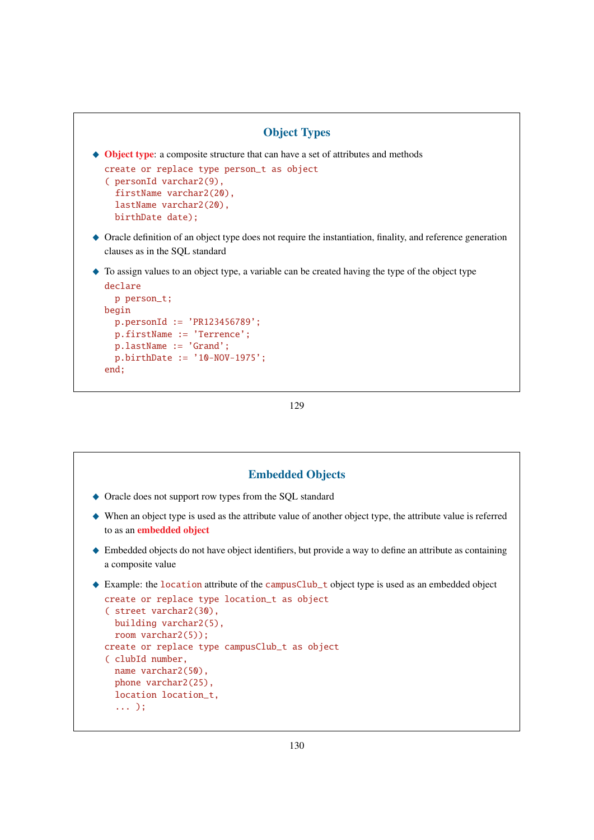```
Object Types
\triangle Object type: a composite structure that can have a set of attributes and methods
  create or replace type person_t as object
  ( personId varchar2(9),
     firstName varchar2(20),
     lastName varchar2(20),
    birthDate date);
_ Oracle definition of an object type does not require the instantiation, finality, and reference generation
  clauses as in the SQL standard
\blacklozenge To assign values to an object type, a variable can be created having the type of the object type
  declare
    p person_t;
  begin
    p.personId := 'PR123456789';
    p.firstName := 'Terrence';
```

```
129
```
p.lastName := 'Grand';

end;

p.birthDate := '10-NOV-1975';

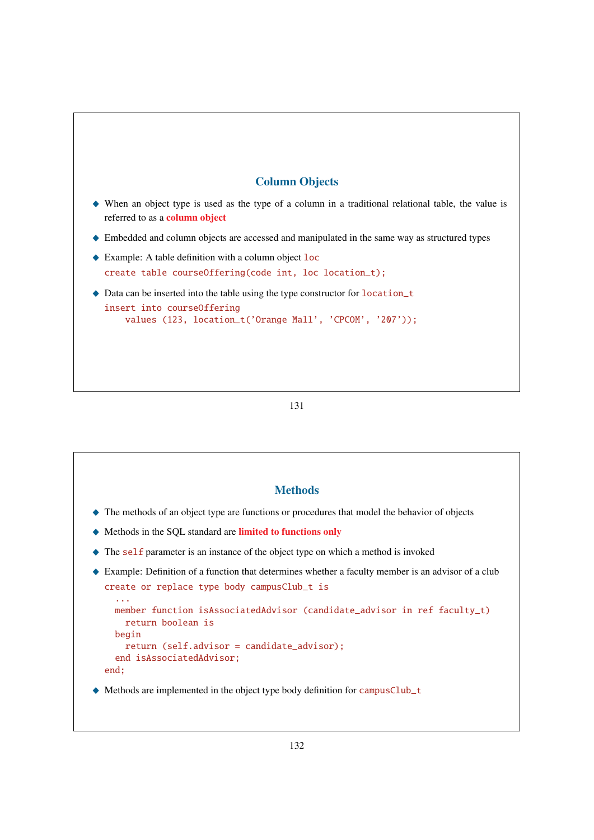# Column Objects

- $\blacklozenge$  When an object type is used as the type of a column in a traditional relational table, the value is referred to as a column object
- \_ Embedded and column objects are accessed and manipulated in the same way as structured types
- $\triangle$  Example: A table definition with a column object loc create table courseOffering(code int, loc location\_t);
- $\triangle$  Data can be inserted into the table using the type constructor for location\_t insert into courseOffering values (123, location\_t('Orange Mall', 'CPCOM', '207'));

131

## **Methods**

- \_ The methods of an object type are functions or procedures that model the behavior of objects
- \_ Methods in the SQL standard are limited to functions only
- $\blacklozenge$  The self parameter is an instance of the object type on which a method is invoked

```
_ Example: Definition of a function that determines whether a faculty member is an advisor of a club
  create or replace type body campusClub_t is
     ...
```

```
member function isAssociatedAdvisor (candidate advisor in ref faculty t)
    return boolean is
  begin
    return (self.advisor = candidate_advisor);
  end isAssociatedAdvisor;
end;
```
◆ Methods are implemented in the object type body definition for campusClub\_t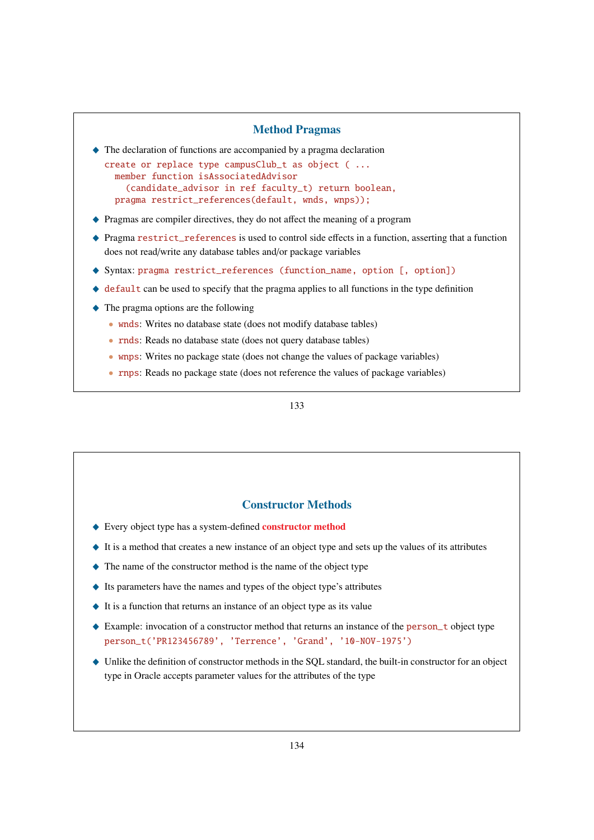### Method Pragmas

 $\blacklozenge$  The declaration of functions are accompanied by a pragma declaration

create or replace type campusClub\_t as object ( ... member function isAssociatedAdvisor (candidate\_advisor in ref faculty\_t) return boolean, pragma restrict\_references(default, wnds, wnps));

- \_ Pragmas are compiler directives, they do not affect the meaning of a program
- $\triangle$  Pragma restrict references is used to control side effects in a function, asserting that a function does not read/write any database tables and/or package variables
- \_ Syntax: pragma restrict\_references (function\_name, option [, option])
- $\triangleq$  default can be used to specify that the pragma applies to all functions in the type definition
- $\triangle$  The pragma options are the following
	- wnds: Writes no database state (does not modify database tables)
	- rnds: Reads no database state (does not query database tables)
	- wnps: Writes no package state (does not change the values of package variables)
	- rnps: Reads no package state (does not reference the values of package variables)

133

### Constructor Methods

- ◆ Every object type has a system-defined constructor method
- $\blacklozenge$  It is a method that creates a new instance of an object type and sets up the values of its attributes
- $\blacklozenge$  The name of the constructor method is the name of the object type
- $\blacklozenge$  Its parameters have the names and types of the object type's attributes
- $\blacklozenge$  It is a function that returns an instance of an object type as its value
- ♦ Example: invocation of a constructor method that returns an instance of the person\_t object type person\_t('PR123456789', 'Terrence', 'Grand', '10-NOV-1975')
- \_ Unlike the definition of constructor methods in the SQL standard, the built-in constructor for an object type in Oracle accepts parameter values for the attributes of the type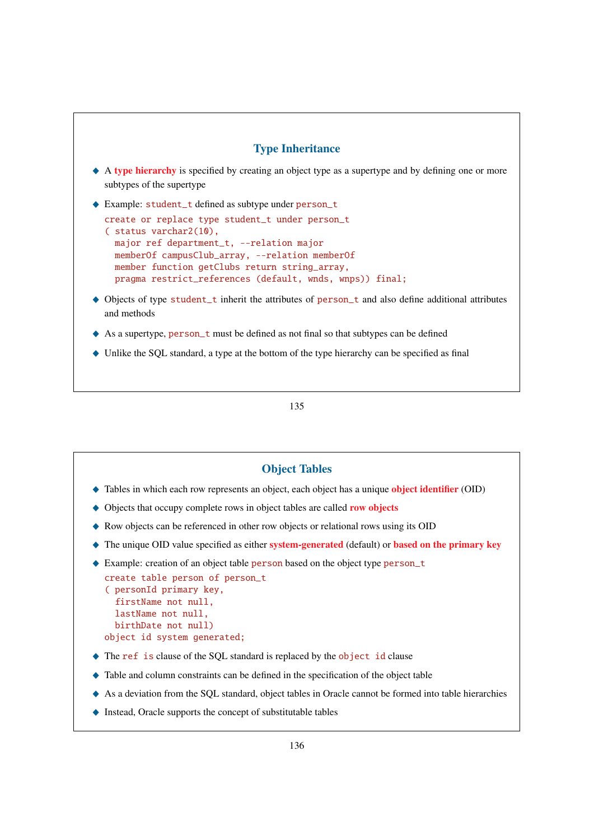

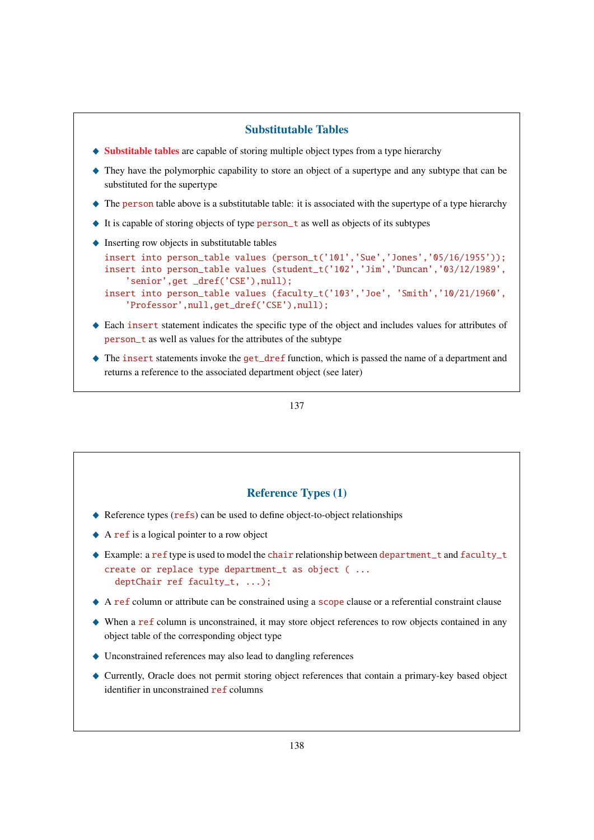## Substitutable Tables

- $\bullet$  Substitable tables are capable of storing multiple object types from a type hierarchy
- \_ They have the polymorphic capability to store an object of a supertype and any subtype that can be substituted for the supertype
- $\triangle$  The person table above is a substitutable table: it is associated with the supertype of a type hierarchy
- $\blacklozenge$  It is capable of storing objects of type person\_t as well as objects of its subtypes

'Professor',null,get\_dref('CSE'),null);

 $\triangle$  Inserting row objects in substitutable tables

```
insert into person_table values (person_t('101','Sue','Jones','05/16/1955'));
insert into person_table values (student_t('102','Jim','Duncan','03/12/1989',
    'senior',get _dref('CSE'),null);
insert into person_table values (faculty_t('103','Joe', 'Smith','10/21/1960',
```
- \_ Each insert statement indicates the specific type of the object and includes values for attributes of person\_t as well as values for the attributes of the subtype
- ◆ The insert statements invoke the get\_dref function, which is passed the name of a department and returns a reference to the associated department object (see later)

137

### Reference Types (1)

- $\blacklozenge$  Reference types (refs) can be used to define object-to-object relationships
- $\triangle$  A ref is a logical pointer to a row object
- $\triangle$  Example: a ref type is used to model the chair relationship between department\_t and faculty\_t create or replace type department\_t as object ( ... deptChair ref faculty\_t, ...);
- \_ A ref column or attribute can be constrained using a scope clause or a referential constraint clause
- \_ When a ref column is unconstrained, it may store object references to row objects contained in any object table of the corresponding object type
- $\blacklozenge$  Unconstrained references may also lead to dangling references
- \_ Currently, Oracle does not permit storing object references that contain a primary-key based object identifier in unconstrained ref columns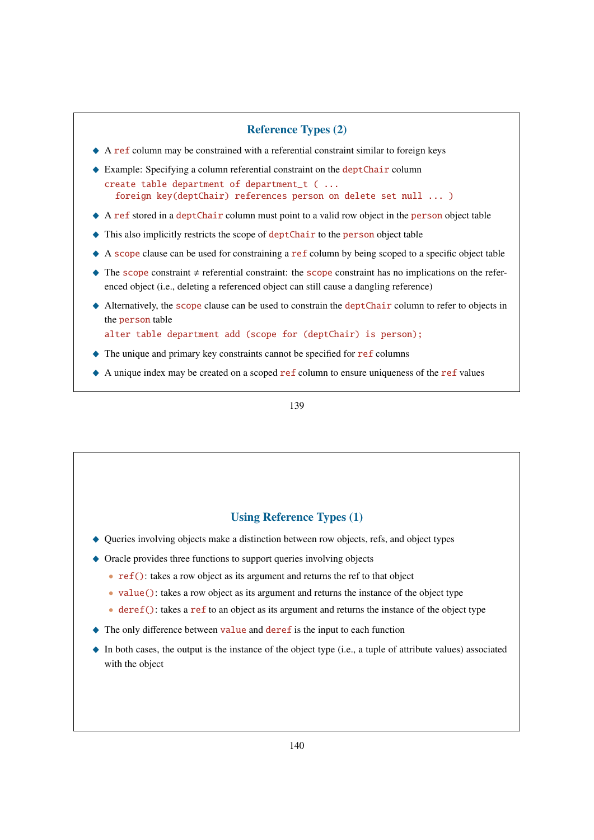## Reference Types (2)

- $\triangle$  A ref column may be constrained with a referential constraint similar to foreign keys
- ◆ Example: Specifying a column referential constraint on the deptChair column create table department of department\_t ( ... foreign key(deptChair) references person on delete set null ... )
- $\triangle$  A ref stored in a deptChair column must point to a valid row object in the person object table
- ◆ This also implicitly restricts the scope of deptChair to the person object table
- $\triangle$  A scope clause can be used for constraining a ref column by being scoped to a specific object table
- $\blacklozenge$  The scope constraint  $\neq$  referential constraint: the scope constraint has no implications on the referenced object (i.e., deleting a referenced object can still cause a dangling reference)
- ◆ Alternatively, the scope clause can be used to constrain the deptChair column to refer to objects in the person table

alter table department add (scope for (deptChair) is person);

- $\triangle$  The unique and primary key constraints cannot be specified for ref columns
- $\triangle$  A unique index may be created on a scoped ref column to ensure uniqueness of the ref values

139

## Using Reference Types (1)

- \_ Queries involving objects make a distinction between row objects, refs, and object types
- $\triangle$  Oracle provides three functions to support queries involving objects
	- ref(): takes a row object as its argument and returns the ref to that object
	- value(): takes a row object as its argument and returns the instance of the object type
	- deref(): takes a ref to an object as its argument and returns the instance of the object type
- $\triangle$  The only difference between value and deref is the input to each function
- $\bullet$  In both cases, the output is the instance of the object type (i.e., a tuple of attribute values) associated with the object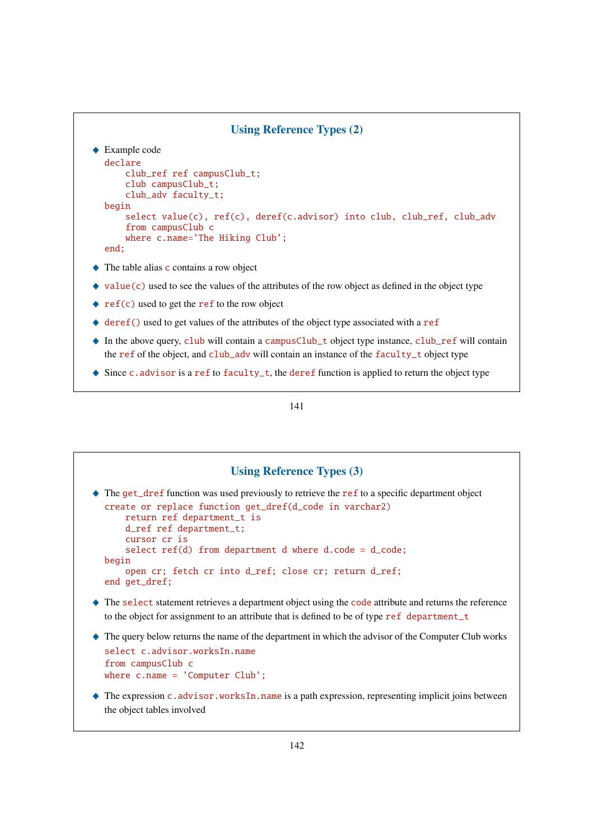```
Using Reference Types (2)
\triangle Example code
  declare
      club ref ref campusClub t:
      club campusClub_t;
      club_adv faculty_t;
  begin
      select value(c), ref(c), deref(c.advisor) into club, club_ref, club_adv
      from campusClub c
      where c.name='The Hiking Club';
  end;
```
- $\triangle$  The table alias c contains a row object
- $\triangle$  value(c) used to see the values of the attributes of the row object as defined in the object type
- $\bullet$  ref(c) used to get the ref to the row object
- $\triangle$  deref() used to get values of the attributes of the object type associated with a ref
- ♦ In the above query, club will contain a campusClub\_t object type instance, club\_ref will contain the ref of the object, and club\_adv will contain an instance of the faculty\_t object type
- $\blacklozenge$  Since c.advisor is a ref to faculty\_t, the deref function is applied to return the object type

# Using Reference Types (3) ◆ The get\_dref function was used previously to retrieve the ref to a specific department object create or replace function get\_dref(d\_code in varchar2) return ref department\_t is d\_ref ref department\_t; cursor cr is select  $ref(d)$  from department d where d.code = d\_code; begin open cr; fetch cr into d\_ref; close cr; return d\_ref; end get\_dref;  $\blacklozenge$  The select statement retrieves a department object using the code attribute and returns the reference to the object for assignment to an attribute that is defined to be of type ref department\_t \_ The query below returns the name of the department in which the advisor of the Computer Club works select c.advisor.worksIn.name from campusClub c where c.name = 'Computer Club';  $\triangle$  The expression c.advisor.worksIn.name is a path expression, representing implicit joins between the object tables involved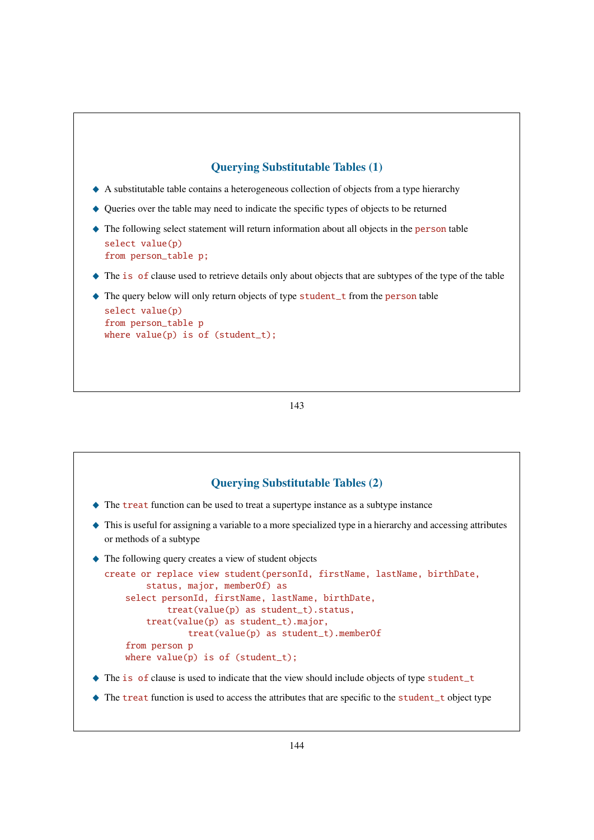## Querying Substitutable Tables (1)

- \_ A substitutable table contains a heterogeneous collection of objects from a type hierarchy
- \_ Queries over the table may need to indicate the specific types of objects to be returned
- $\triangle$  The following select statement will return information about all objects in the person table select value(p) from person\_table p;
- $\blacklozenge$  The is of clause used to retrieve details only about objects that are subtypes of the type of the table
- ◆ The query below will only return objects of type student\_t from the person table select value(p) from person\_table p where value(p) is of (student\_t);

#### 143



◆ The treat function is used to access the attributes that are specific to the student\_t object type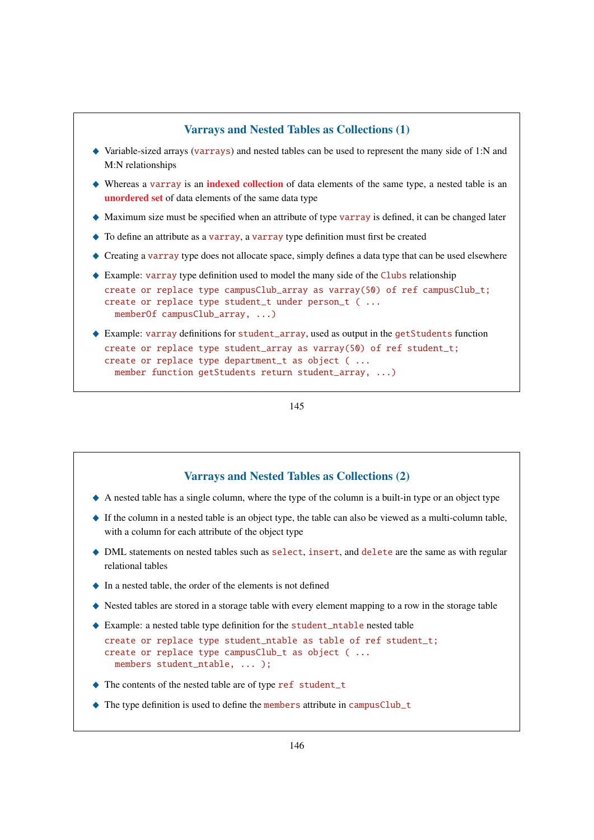# Varrays and Nested Tables as Collections (1)

- $\blacklozenge$  Variable-sized arrays (varrays) and nested tables can be used to represent the many side of 1:N and M:N relationships
- $\blacklozenge$  Whereas a varray is an **indexed collection** of data elements of the same type, a nested table is an unordered set of data elements of the same data type
- $\blacklozenge$  Maximum size must be specified when an attribute of type varray is defined, it can be changed later
- $\triangle$  To define an attribute as a varray, a varray type definition must first be created
- $\triangle$  Creating a varray type does not allocate space, simply defines a data type that can be used elsewhere
- $\triangle$  Example: varray type definition used to model the many side of the Clubs relationship
- create or replace type campusClub\_array as varray(50) of ref campusClub\_t; create or replace type student\_t under person\_t ( ... memberOf campusClub\_array, ...)
- ◆ Example: varray definitions for student\_array, used as output in the getStudents function create or replace type student\_array as varray(50) of ref student\_t; create or replace type department\_t as object ( ... member function getStudents return student\_array, ...)

145

# Varrays and Nested Tables as Collections (2)

- $\triangle$  A nested table has a single column, where the type of the column is a built-in type or an object type
- $\blacklozenge$  If the column in a nested table is an object type, the table can also be viewed as a multi-column table, with a column for each attribute of the object type
- $\triangle$  DML statements on nested tables such as select, insert, and delete are the same as with regular relational tables
- $\bullet$  In a nested table, the order of the elements is not defined
- \_ Nested tables are stored in a storage table with every element mapping to a row in the storage table
- ◆ Example: a nested table type definition for the student\_ntable nested table

```
create or replace type student ntable as table of ref student t:
create or replace type campusClub t as object ( ...
  members student_ntable, ... );
```
- ◆ The contents of the nested table are of type ref student\_t
- $\triangle$  The type definition is used to define the members attribute in campusClub\_t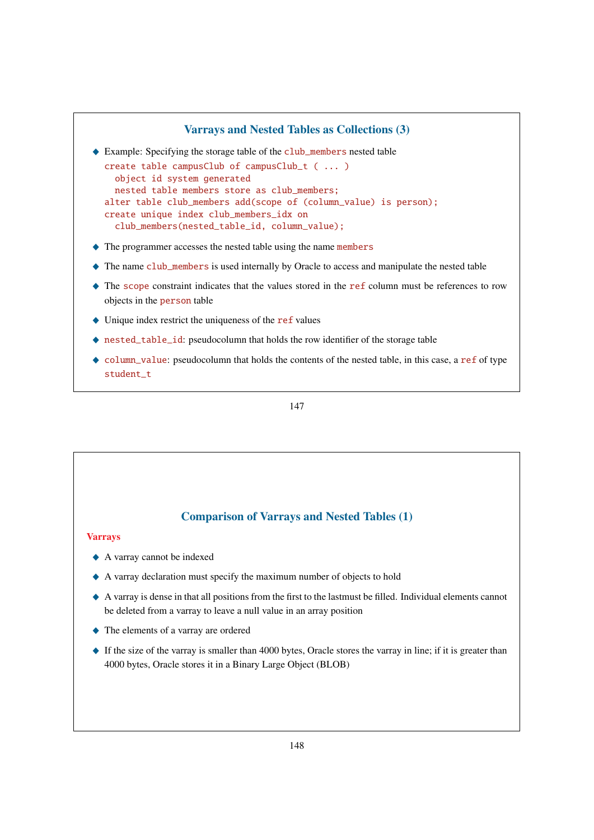# Varrays and Nested Tables as Collections (3)

◆ Example: Specifying the storage table of the club\_members nested table

```
create table campusClub of campusClub_t ( ... )
  object id system generated
  nested table members store as club_members;
alter table club_members add(scope of (column_value) is person);
create unique index club_members_idx on
  club_members(nested_table_id, column_value);
```
- $\triangle$  The programmer accesses the nested table using the name members
- $\triangle$  The name club\_members is used internally by Oracle to access and manipulate the nested table
- $\triangle$  The scope constraint indicates that the values stored in the ref column must be references to row objects in the person table
- $\blacklozenge$  Unique index restrict the uniqueness of the ref values
- ◆ nested\_table\_id: pseudocolumn that holds the row identifier of the storage table
- $\bullet$  column\_value: pseudocolumn that holds the contents of the nested table, in this case, a ref of type student\_t

147

## Comparison of Varrays and Nested Tables (1)

#### Varrays

- $\triangle$  A varray cannot be indexed
- $\triangle$  A varray declaration must specify the maximum number of objects to hold
- $\triangle$  A varray is dense in that all positions from the first to the lastmust be filled. Individual elements cannot be deleted from a varray to leave a null value in an array position
- $\triangle$  The elements of a varray are ordered
- $\triangle$  If the size of the varray is smaller than 4000 bytes, Oracle stores the varray in line; if it is greater than 4000 bytes, Oracle stores it in a Binary Large Object (BLOB)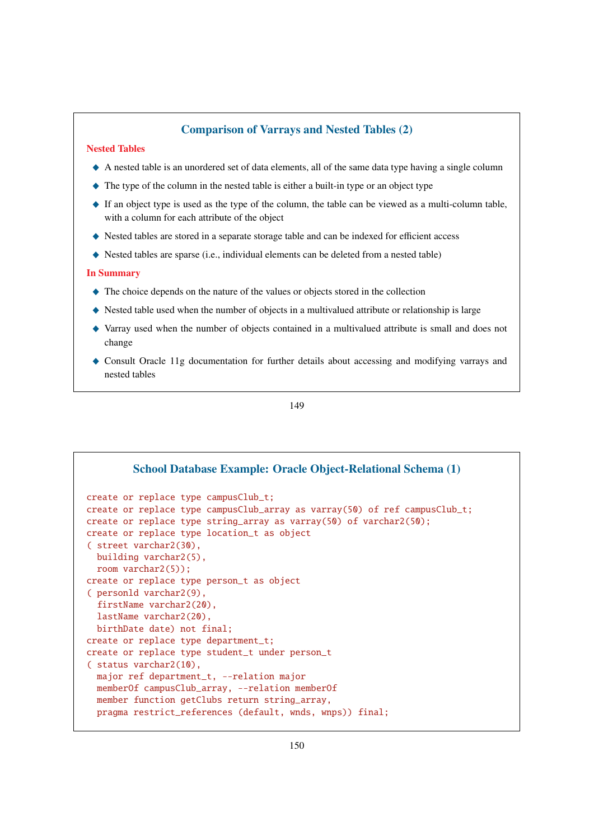## Comparison of Varrays and Nested Tables (2)

### Nested Tables

- $\triangle$  A nested table is an unordered set of data elements, all of the same data type having a single column
- $\blacklozenge$  The type of the column in the nested table is either a built-in type or an object type
- $\bullet$  If an object type is used as the type of the column, the table can be viewed as a multi-column table, with a column for each attribute of the object
- \_ Nested tables are stored in a separate storage table and can be indexed for efficient access
- Nested tables are sparse (i.e., individual elements can be deleted from a nested table)

#### In Summary

- $\triangle$  The choice depends on the nature of the values or objects stored in the collection
- $\blacklozenge$  Nested table used when the number of objects in a multivalued attribute or relationship is large
- \_ Varray used when the number of objects contained in a multivalued attribute is small and does not change
- ◆ Consult Oracle 11g documentation for further details about accessing and modifying varrays and nested tables

149

```
School Database Example: Oracle Object-Relational Schema (1)
create or replace type campusClub_t;
create or replace type campusClub_array as varray(50) of ref campusClub_t;
create or replace type string_array as varray(50) of varchar2(50);
create or replace type location_t as object
( street varchar2(30),
  building varchar2(5),
  room varchar2(5));
create or replace type person_t as object
( personld varchar2(9),
  firstName varchar2(20),
  lastName varchar2(20),
 birthDate date) not final;
create or replace type department_t;
create or replace type student_t under person_t
( status varchar2(10),
  major ref department_t, --relation major
  memberOf campusClub_array, --relation memberOf
  member function getClubs return string_array,
  pragma restrict_references (default, wnds, wnps)) final;
```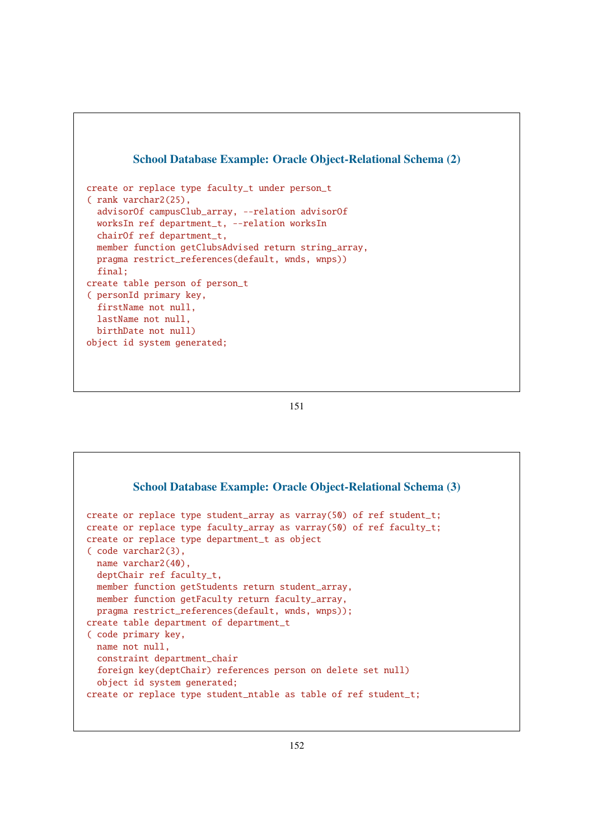

151

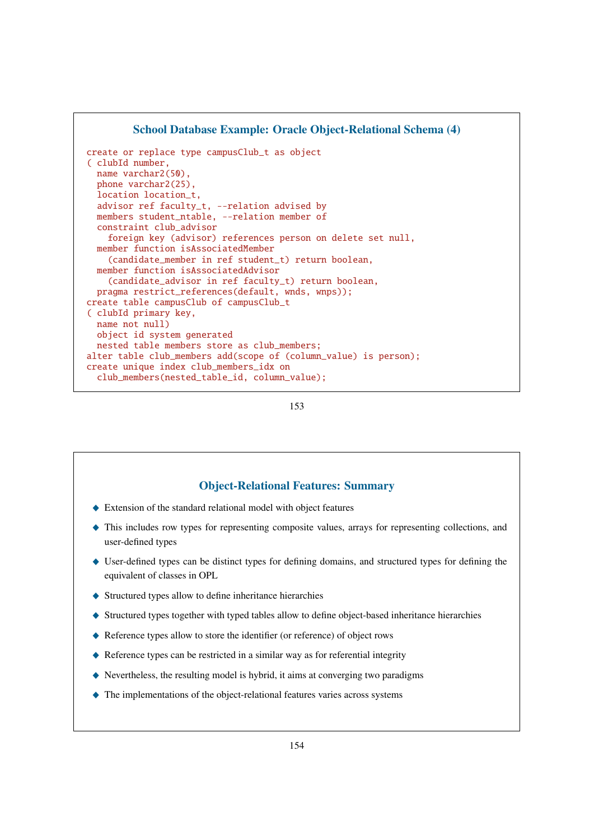